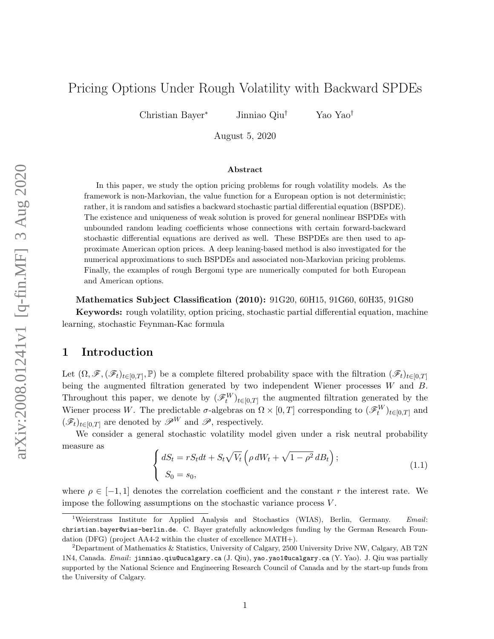# <span id="page-0-1"></span>Pricing Options Under Rough Volatility with Backward SPDEs

Christian Bayer<sup>∗</sup> Jinniao Qiu† Yao Yao†

August 5, 2020

#### Abstract

In this paper, we study the option pricing problems for rough volatility models. As the framework is non-Markovian, the value function for a European option is not deterministic; rather, it is random and satisfies a backward stochastic partial differential equation (BSPDE). The existence and uniqueness of weak solution is proved for general nonlinear BSPDEs with unbounded random leading coefficients whose connections with certain forward-backward stochastic differential equations are derived as well. These BSPDEs are then used to approximate American option prices. A deep leaning-based method is also investigated for the numerical approximations to such BSPDEs and associated non-Markovian pricing problems. Finally, the examples of rough Bergomi type are numerically computed for both European and American options.

Mathematics Subject Classification (2010): 91G20, 60H15, 91G60, 60H35, 91G80 Keywords: rough volatility, option pricing, stochastic partial differential equation, machine learning, stochastic Feynman-Kac formula

### 1 Introduction

Let  $(\Omega, \mathscr{F}, (\mathscr{F}_t)_{t\in[0,T]}, \mathbb{P})$  be a complete filtered probability space with the filtration  $(\mathscr{F}_t)_{t\in[0,T]}$ being the augmented filtration generated by two independent Wiener processes W and B. Throughout this paper, we denote by  $(\mathscr{F}_t^W)_{t\in[0,T]}$  the augmented filtration generated by the Wiener process W. The predictable  $\sigma$ -algebras on  $\Omega \times [0,T]$  corresponding to  $(\mathscr{F}_t^W)_{t \in [0,T]}$  and  $(\mathscr{F}_t)_{t\in[0,T]}$  are denoted by  $\mathscr{P}^W$  and  $\mathscr{P}$ , respectively.

We consider a general stochastic volatility model given under a risk neutral probability measure as

<span id="page-0-0"></span>
$$
\begin{cases} dS_t = rS_t dt + S_t \sqrt{V_t} \left( \rho dW_t + \sqrt{1 - \rho^2} dB_t \right); \\ S_0 = s_0, \end{cases}
$$
 (1.1)

where  $\rho \in [-1, 1]$  denotes the correlation coefficient and the constant r the interest rate. We impose the following assumptions on the stochastic variance process  $V$ .

<sup>&</sup>lt;sup>1</sup>Weierstrass Institute for Applied Analysis and Stochastics (WIAS), Berlin, Germany. Email: christian.bayer@wias-berlin.de. C. Bayer gratefully acknowledges funding by the German Research Foundation (DFG) (project AA4-2 within the cluster of excellence MATH+).

<sup>&</sup>lt;sup>2</sup>Department of Mathematics & Statistics, University of Calgary, 2500 University Drive NW, Calgary, AB T2N 1N4, Canada. Email: jinniao.qiu@ucalgary.ca (J. Qiu), yao.yao1@ucalgary.ca (Y. Yao). J. Qiu was partially supported by the National Science and Engineering Research Council of Canada and by the start-up funds from the University of Calgary.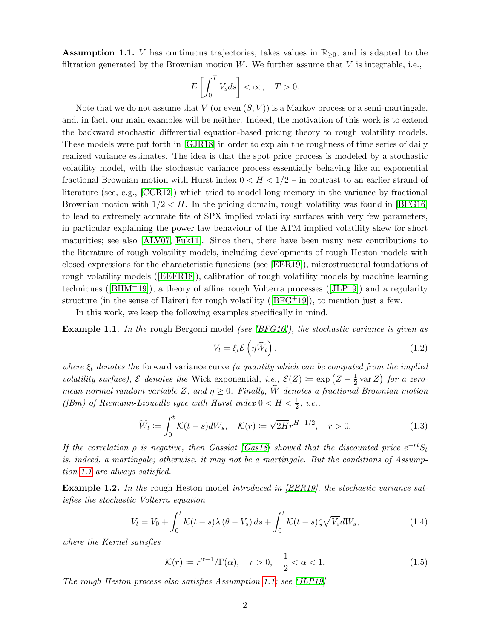<span id="page-1-0"></span>**Assumption 1.1.** V has continuous trajectories, takes values in  $\mathbb{R}_{\geq 0}$ , and is adapted to the filtration generated by the Brownian motion  $W$ . We further assume that  $V$  is integrable, i.e.,

$$
E\left[\int_0^T V_s ds\right] < \infty, \quad T > 0.
$$

Note that we do not assume that V (or even  $(S, V)$ ) is a Markov process or a semi-martingale, and, in fact, our main examples will be neither. Indeed, the motivation of this work is to extend the backward stochastic differential equation-based pricing theory to rough volatility models. These models were put forth in [\[GJR18\]](#page-30-0) in order to explain the roughness of time series of daily realized variance estimates. The idea is that the spot price process is modeled by a stochastic volatility model, with the stochastic variance process essentially behaving like an exponential fractional Brownian motion with Hurst index  $0 < H < 1/2$  – in contrast to an earlier strand of literature (see, e.g., [\[CCR12\]](#page-29-0)) which tried to model long memory in the variance by fractional Brownian motion with  $1/2 < H$ . In the pricing domain, rough volatility was found in [\[BFG16\]](#page-29-1) to lead to extremely accurate fits of SPX implied volatility surfaces with very few parameters, in particular explaining the power law behaviour of the ATM implied volatility skew for short maturities; see also [\[ALV07,](#page-28-0) [Fuk11\]](#page-29-2). Since then, there have been many new contributions to the literature of rough volatility models, including developments of rough Heston models with closed expressions for the characteristic functions (see [\[EER19\]](#page-29-3)), microstructural foundations of rough volatility models([\[EEFR18\]](#page-29-4)), calibration of rough volatility models by machine learning techniques([\[BHM](#page-29-5)+19]), a theory of affine rough Volterra processes([\[JLP19\]](#page-30-1)) and a regularity structure(in the sense of Hairer) for rough volatility ( $[BFG^+19]$  $[BFG^+19]$ ), to mention just a few.

In this work, we keep the following examples specifically in mind.

<span id="page-1-1"></span>**Example 1.1.** In the rough Bergomi model (see  $|BFG16|$ ), the stochastic variance is given as

$$
V_t = \xi_t \mathcal{E}\left(\eta \widehat{W}_t\right),\tag{1.2}
$$

where  $\xi_t$  denotes the forward variance curve (a quantity which can be computed from the implied volatility surface),  $\mathcal E$  denotes the Wick exponential, i.e.,  $\mathcal E(Z) := \exp\left(Z - \frac{1}{2}\right)$  $\frac{1}{2}$  var Z) for a zeromean normal random variable Z, and  $\eta \geq 0$ . Finally,  $\widehat{W}$  denotes a fractional Brownian motion (fBm) of Riemann-Liouville type with Hurst index  $0 < H < \frac{1}{2}$ , i.e.,

$$
\widehat{W}_t := \int_0^t \mathcal{K}(t-s)dW_s, \quad \mathcal{K}(r) := \sqrt{2H}r^{H-1/2}, \quad r > 0.
$$
\n(1.3)

If the correlation  $\rho$  is negative, then Gassiat [\[Gas18\]](#page-29-7) showed that the discounted price  $e^{-rt}S_t$ is, indeed, a martingale; otherwise, it may not be a martingale. But the conditions of Assumption [1.1](#page-1-0) are always satisfied.

<span id="page-1-2"></span>Example 1.2. In the rough Heston model introduced in [\[EER19\]](#page-29-3), the stochastic variance satisfies the stochastic Volterra equation

$$
V_t = V_0 + \int_0^t \mathcal{K}(t - s)\lambda (\theta - V_s) ds + \int_0^t \mathcal{K}(t - s)\zeta \sqrt{V_s} dW_s, \qquad (1.4)
$$

where the Kernel satisfies

$$
\mathcal{K}(r) \coloneqq r^{\alpha - 1} / \Gamma(\alpha), \quad r > 0, \quad \frac{1}{2} < \alpha < 1. \tag{1.5}
$$

The rough Heston process also satisfies Assumption [1.1;](#page-1-0) see [\[JLP19\]](#page-30-1).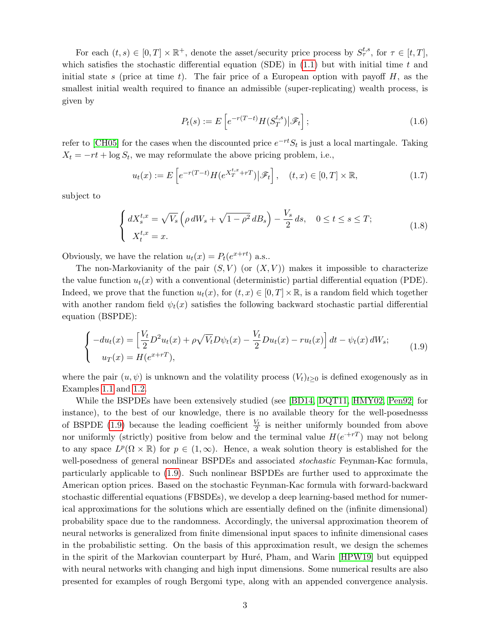For each  $(t, s) \in [0, T] \times \mathbb{R}^+$ , denote the asset/security price process by  $S_{\tau}^{t,s}$ , for  $\tau \in [t, T]$ , which satisfies the stochastic differential equation (SDE) in  $(1.1)$  but with initial time t and initial state s (price at time t). The fair price of a European option with payoff  $H$ , as the smallest initial wealth required to finance an admissible (super-replicating) wealth process, is given by

<span id="page-2-2"></span>
$$
P_t(s) := E\left[e^{-r(T-t)}H(S_T^{t,s})\big|\mathscr{F}_t\right];\tag{1.6}
$$

refer to [\[CH05\]](#page-29-8) for the cases when the discounted price  $e^{-rt}S_t$  is just a local martingale. Taking  $X_t = -rt + \log S_t$ , we may reformulate the above pricing problem, i.e.,

$$
u_t(x) := E\left[e^{-r(T-t)}H(e^{X_T^{t,x}+rT})|\mathscr{F}_t\right], \quad (t,x) \in [0,T] \times \mathbb{R},\tag{1.7}
$$

subject to

<span id="page-2-1"></span>
$$
\begin{cases} dX_s^{t,x} = \sqrt{V_s} \left( \rho \, dW_s + \sqrt{1 - \rho^2} \, dB_s \right) - \frac{V_s}{2} \, ds, \quad 0 \le t \le s \le T; \\ X_t^{t,x} = x. \end{cases} \tag{1.8}
$$

Obviously, we have the relation  $u_t(x) = P_t(e^{x+rt})$  a.s..

The non-Markovianity of the pair  $(S, V)$  (or  $(X, V)$ ) makes it impossible to characterize the value function  $u_t(x)$  with a conventional (deterministic) partial differential equation (PDE). Indeed, we prove that the function  $u_t(x)$ , for  $(t, x) \in [0, T] \times \mathbb{R}$ , is a random field which together with another random field  $\psi_t(x)$  satisfies the following backward stochastic partial differential equation (BSPDE):

<span id="page-2-0"></span>
$$
\begin{cases}\n-du_t(x) = \left[\frac{V_t}{2}D^2u_t(x) + \rho\sqrt{V_t}D\psi_t(x) - \frac{V_t}{2}Du_t(x) - ru_t(x)\right]dt - \psi_t(x)dW_s; \\
u_T(x) = H(e^{x+ rT}),\n\end{cases}
$$
\n(1.9)

where the pair  $(u, \psi)$  is unknown and the volatility process  $(V_t)_{t\geq 0}$  is defined exogenously as in Examples [1.1](#page-1-1) and [1.2.](#page-1-2)

While the BSPDEs have been extensively studied (see [\[BD14,](#page-28-1) [DQT11,](#page-29-9) [HMY02,](#page-30-2) [Pen92\]](#page-30-3) for instance), to the best of our knowledge, there is no available theory for the well-posednesss of BSPDE [\(1.9\)](#page-2-0) because the leading coefficient  $\frac{V_t}{2}$  is neither uniformly bounded from above nor uniformly (strictly) positive from below and the terminal value  $H(e^{+rT})$  may not belong to any space  $L^p(\Omega \times \mathbb{R})$  for  $p \in (1,\infty)$ . Hence, a weak solution theory is established for the well-posedness of general nonlinear BSPDEs and associated *stochastic* Feynman-Kac formula, particularly applicable to [\(1.9\)](#page-2-0). Such nonlinear BSPDEs are further used to approximate the American option prices. Based on the stochastic Feynman-Kac formula with forward-backward stochastic differential equations (FBSDEs), we develop a deep learning-based method for numerical approximations for the solutions which are essentially defined on the (infinite dimensional) probability space due to the randomness. Accordingly, the universal approximation theorem of neural networks is generalized from finite dimensional input spaces to infinite dimensional cases in the probabilistic setting. On the basis of this approximation result, we design the schemes in the spirit of the Markovian counterpart by Huré, Pham, and Warin [\[HPW19\]](#page-30-4) but equipped with neural networks with changing and high input dimensions. Some numerical results are also presented for examples of rough Bergomi type, along with an appended convergence analysis.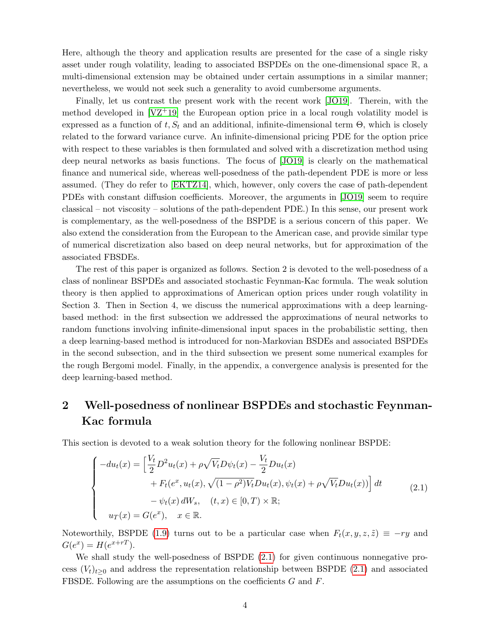Here, although the theory and application results are presented for the case of a single risky asset under rough volatility, leading to associated BSPDEs on the one-dimensional space  $\mathbb{R}$ , a multi-dimensional extension may be obtained under certain assumptions in a similar manner; nevertheless, we would not seek such a generality to avoid cumbersome arguments.

Finally, let us contrast the present work with the recent work [\[JO19\]](#page-30-5). Therein, with the method developed in  $[VZ^+19]$  the European option price in a local rough volatility model is expressed as a function of t,  $S_t$  and an additional, infinite-dimensional term  $\Theta$ , which is closely related to the forward variance curve. An infinite-dimensional pricing PDE for the option price with respect to these variables is then formulated and solved with a discretization method using deep neural networks as basis functions. The focus of [\[JO19\]](#page-30-5) is clearly on the mathematical finance and numerical side, whereas well-posedness of the path-dependent PDE is more or less assumed. (They do refer to [\[EKTZ14\]](#page-29-10), which, however, only covers the case of path-dependent PDEs with constant diffusion coefficients. Moreover, the arguments in [\[JO19\]](#page-30-5) seem to require classical – not viscosity – solutions of the path-dependent PDE.) In this sense, our present work is complementary, as the well-posedness of the BSPDE is a serious concern of this paper. We also extend the consideration from the European to the American case, and provide similar type of numerical discretization also based on deep neural networks, but for approximation of the associated FBSDEs.

The rest of this paper is organized as follows. Section 2 is devoted to the well-posedness of a class of nonlinear BSPDEs and associated stochastic Feynman-Kac formula. The weak solution theory is then applied to approximations of American option prices under rough volatility in Section 3. Then in Section 4, we discuss the numerical approximations with a deep learningbased method: in the first subsection we addressed the approximations of neural networks to random functions involving infinite-dimensional input spaces in the probabilistic setting, then a deep learning-based method is introduced for non-Markovian BSDEs and associated BSPDEs in the second subsection, and in the third subsection we present some numerical examples for the rough Bergomi model. Finally, in the appendix, a convergence analysis is presented for the deep learning-based method.

# 2 Well-posedness of nonlinear BSPDEs and stochastic Feynman-Kac formula

This section is devoted to a weak solution theory for the following nonlinear BSPDE:

<span id="page-3-0"></span>
$$
\begin{cases}\n-du_t(x) = \left[\frac{V_t}{2}D^2u_t(x) + \rho\sqrt{V_t}D\psi_t(x) - \frac{V_t}{2}Du_t(x) \\
+ F_t(e^x, u_t(x), \sqrt{(1-\rho^2)V_t}Du_t(x), \psi_t(x) + \rho\sqrt{V_t}Du_t(x))\right]dt \\
-\psi_t(x)dW_s, \quad (t, x) \in [0, T) \times \mathbb{R};\n\end{cases} (2.1)
$$
\n
$$
u_T(x) = G(e^x), \quad x \in \mathbb{R}.
$$

Noteworthily, BSPDE [\(1.9\)](#page-2-0) turns out to be a particular case when  $F_t(x, y, z, \tilde{z}) \equiv -ry$  and  $G(e^{x}) = H(e^{x+rT}).$ 

We shall study the well-posedness of BSPDE [\(2.1\)](#page-3-0) for given continuous nonnegative process  $(V_t)_{t>0}$  and address the representation relationship between BSPDE [\(2.1\)](#page-3-0) and associated FBSDE. Following are the assumptions on the coefficients G and F.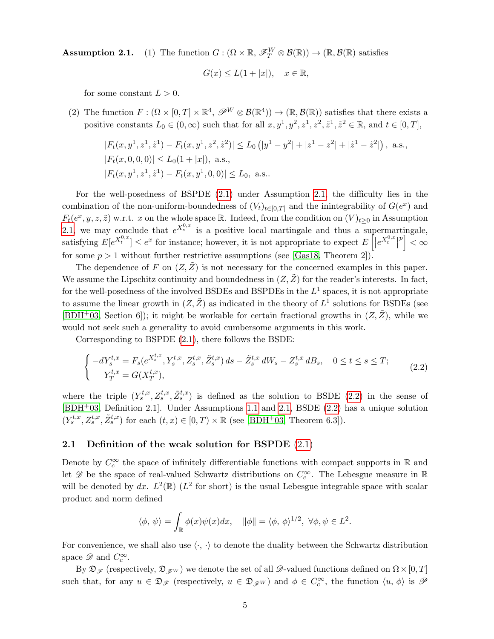**Assumption 2.1.** (1) The function  $G : (\Omega \times \mathbb{R}, \mathscr{F}_T^W \otimes \mathcal{B}(\mathbb{R})) \to (\mathbb{R}, \mathcal{B}(\mathbb{R})$  satisfies

$$
G(x) \le L(1+|x|), \quad x \in \mathbb{R},
$$

for some constant  $L > 0$ .

(2) The function  $F: (\Omega \times [0,T] \times \mathbb{R}^4, \mathscr{P}^W \otimes \mathcal{B}(\mathbb{R}^4)) \to (\mathbb{R}, \mathcal{B}(\mathbb{R}))$  satisfies that there exists a positive constants  $L_0 \in (0, \infty)$  such that for all  $x, y^1, y^2, z^1, z^2, \tilde{z}^1, \tilde{z}^2 \in \mathbb{R}$ , and  $t \in [0, T]$ ,

$$
|F_t(x, y^1, z^1, \tilde{z}^1) - F_t(x, y^1, z^2, \tilde{z}^2)| \le L_0 (|y^1 - y^2| + |z^1 - z^2| + |\tilde{z}^1 - \tilde{z}^2|),
$$
 a.s.,  
\n
$$
|F_t(x, 0, 0, 0)| \le L_0(1 + |x|),
$$
 a.s.,  
\n
$$
|F_t(x, y^1, z^1, \tilde{z}^1) - F_t(x, y^1, 0, 0)| \le L_0,
$$
 a.s..

For the well-posedness of BSPDE [\(2.1\)](#page-3-0) under Assumption [2.1,](#page-0-1) the difficulty lies in the combination of the non-uniform-boundedness of  $(V_t)_{t\in[0,T]}$  and the inintegrability of  $G(e^x)$  and  $F_t(e^x, y, z, \tilde{z})$  w.r.t. x on the whole space R. Indeed, from the condition on  $(V)_{t\geq0}$  in Assumption [2.1,](#page-0-1) we may conclude that  $e^{X_s^{0,x}}$  is a positive local martingale and thus a supermartingale, satisfying  $E[e^{X_t^{0,x}}] \le e^x$  for instance; however, it is not appropriate to expect  $E\left[|e^{X_t^{0,x}}|\right]$  $p \rceil < \infty$ for some  $p > 1$  without further restrictive assumptions (see [\[Gas18,](#page-29-7) Theorem 2]).

The dependence of F on  $(Z, \bar{Z})$  is not necessary for the concerned examples in this paper. We assume the Lipschitz continuity and boundedness in  $(Z, \tilde{Z})$  for the reader's interests. In fact, for the well-posedness of the involved BSDEs and BSPDEs in the  $L^1$  spaces, it is not appropriate to assume the linear growth in  $(Z, \tilde{Z})$  as indicated in the theory of  $L^1$  solutions for BSDEs (see [\[BDH](#page-28-2)<sup>+</sup>03, Section 6]); it might be workable for certain fractional growths in  $(Z, \tilde{Z})$ , while we would not seek such a generality to avoid cumbersome arguments in this work.

Corresponding to BSPDE [\(2.1\)](#page-3-0), there follows the BSDE:

<span id="page-4-0"></span>
$$
\begin{cases}\n-dY_s^{t,x} = F_s(e^{X_s^{t,x}}, Y_s^{t,x}, Z_s^{t,x}, \tilde{Z}_s^{t,x}) ds - \tilde{Z}_s^{t,x} dW_s - Z_s^{t,x} dB_s, & 0 \le t \le s \le T; \\
Y_T^{t,x} = G(X_T^{t,x}),\n\end{cases} \tag{2.2}
$$

where the triple  $(Y_s^{t,x}, Z_s^{t,x}, \tilde{Z}_s^{t,x})$  is defined as the solution to BSDE [\(2.2\)](#page-4-0) in the sense of [\[BDH](#page-28-2)+03, Definition 2.1]. Under Assumptions [1.1](#page-1-0) and [2.1,](#page-0-1) BSDE [\(2.2\)](#page-4-0) has a unique solution  $(Y_s^{t,x}, Z_s^{t,x}, \tilde{Z}_s^{t,x})$  for each  $(t, x) \in [0, T) \times \mathbb{R}$  (see [\[BDH](#page-28-2)<sup>+</sup>03, Theorem 6.3]).

#### 2.1 Definition of the weak solution for BSPDE [\(2.1\)](#page-3-0)

Denote by  $C_c^{\infty}$  the space of infinitely differentiable functions with compact supports in R and let  $\mathscr{D}$  be the space of real-valued Schwartz distributions on  $C_c^{\infty}$ . The Lebesgue measure in  $\mathbb R$ will be denoted by dx.  $L^2(\mathbb{R})$  ( $L^2$  for short) is the usual Lebesgue integrable space with scalar product and norm defined

$$
\langle \phi, \psi \rangle = \int_{\mathbb{R}} \phi(x) \psi(x) dx, \quad ||\phi|| = \langle \phi, \phi \rangle^{1/2}, \ \forall \phi, \psi \in L^2.
$$

For convenience, we shall also use  $\langle \cdot, \cdot \rangle$  to denote the duality between the Schwartz distribution space  $\mathscr{D}$  and  $C_c^{\infty}$ .

By  $\mathfrak{D}_{\mathscr{F}}$  (respectively,  $\mathfrak{D}_{\mathscr{F}}$ ) we denote the set of all  $\mathscr{D}$ -valued functions defined on  $\Omega \times [0, T]$ such that, for any  $u \in \mathfrak{D}_{\mathscr{F}}$  (respectively,  $u \in \mathfrak{D}_{\mathscr{F}}w$ ) and  $\phi \in C_c^{\infty}$ , the function  $\langle u, \phi \rangle$  is  $\mathscr{P}$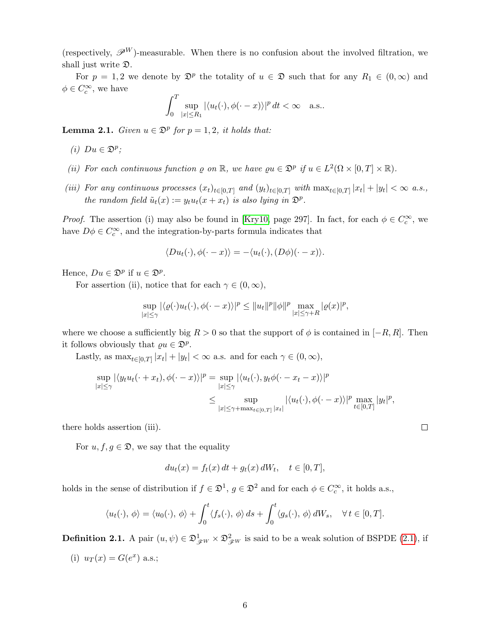(respectively,  $\mathscr{P}^W$ )-measurable. When there is no confusion about the involved filtration, we shall just write D.

For  $p = 1, 2$  we denote by  $\mathfrak{D}^p$  the totality of  $u \in \mathfrak{D}$  such that for any  $R_1 \in (0, \infty)$  and  $\phi \in C_c^{\infty}$ , we have

$$
\int_0^T \sup_{|x| \le R_1} |\langle u_t(\cdot), \phi(\cdot - x) \rangle|^p dt < \infty \quad \text{a.s.}.
$$

<span id="page-5-1"></span>**Lemma 2.1.** Given  $u \in \mathbb{D}^p$  for  $p = 1, 2$ , it holds that:

- (i)  $Du \in \mathfrak{D}^p$ ;
- (ii) For each continuous function  $\varrho$  on  $\mathbb{R}$ , we have  $\varrho u \in \mathfrak{D}^p$  if  $u \in L^2(\Omega \times [0,T] \times \mathbb{R})$ .
- (iii) For any continuous processes  $(x_t)_{t\in[0,T]}$  and  $(y_t)_{t\in[0,T]}$  with  $\max_{t\in[0,T]}|x_t|+|y_t|<\infty$  a.s., the random field  $\tilde{u}_t(x) := y_t u_t(x + x_t)$  is also lying in  $\mathfrak{D}^p$ .

*Proof.* The assertion (i) may also be found in [\[Kry10,](#page-30-6) page 297]. In fact, for each  $\phi \in C_c^{\infty}$ , we have  $D\phi \in C_c^{\infty}$ , and the integration-by-parts formula indicates that

$$
\langle Du_t(\cdot), \phi(\cdot - x) \rangle = -\langle u_t(\cdot), (D\phi)(\cdot - x) \rangle.
$$

Hence,  $Du \in \mathfrak{D}^p$  if  $u \in \mathfrak{D}^p$ .

For assertion (ii), notice that for each  $\gamma \in (0, \infty)$ ,

$$
\sup_{|x|\leq \gamma}|\langle \varrho(\cdot)u_t(\cdot),\phi(\cdot-x)\rangle|^p\leq \|u_t\|^p\|\phi\|^p\max_{|x|\leq \gamma+R}|\varrho(x)|^p,
$$

where we choose a sufficiently big  $R > 0$  so that the support of  $\phi$  is contained in [−R, R]. Then it follows obviously that  $\varrho u \in \mathfrak{D}^p$ .

Lastly, as  $\max_{t \in [0,T]} |x_t| + |y_t| < \infty$  a.s. and for each  $\gamma \in (0,\infty)$ ,

$$
\sup_{|x| \leq \gamma} |\langle y_t u_t(\cdot + x_t), \phi(\cdot - x) \rangle|^p = \sup_{|x| \leq \gamma} |\langle u_t(\cdot), y_t \phi(\cdot - x_t - x) \rangle|^p
$$
  

$$
\leq \sup_{|x| \leq \gamma + \max_{t \in [0,T]} |x_t|} |\langle u_t(\cdot), \phi(\cdot - x) \rangle|^p \max_{t \in [0,T]} |y_t|^p,
$$

there holds assertion (iii).

For  $u, f, g \in \mathfrak{D}$ , we say that the equality

$$
du_t(x) = f_t(x) dt + g_t(x) dW_t, \quad t \in [0, T],
$$

holds in the sense of distribution if  $f \in \mathfrak{D}^1$ ,  $g \in \mathfrak{D}^2$  and for each  $\phi \in C_c^{\infty}$ , it holds a.s.,

$$
\langle u_t(\cdot), \phi \rangle = \langle u_0(\cdot), \phi \rangle + \int_0^t \langle f_s(\cdot), \phi \rangle ds + \int_0^t \langle g_s(\cdot), \phi \rangle dW_s, \quad \forall t \in [0, T].
$$

<span id="page-5-0"></span>**Definition 2.1.** A pair  $(u, \psi) \in \mathfrak{D}_{\mathscr{F}^W}^1 \times \mathfrak{D}_{\mathscr{F}^W}^2$  is said to be a weak solution of BSPDE [\(2.1\)](#page-3-0), if

(i)  $u_T(x) = G(e^x)$  a.s.;

 $\Box$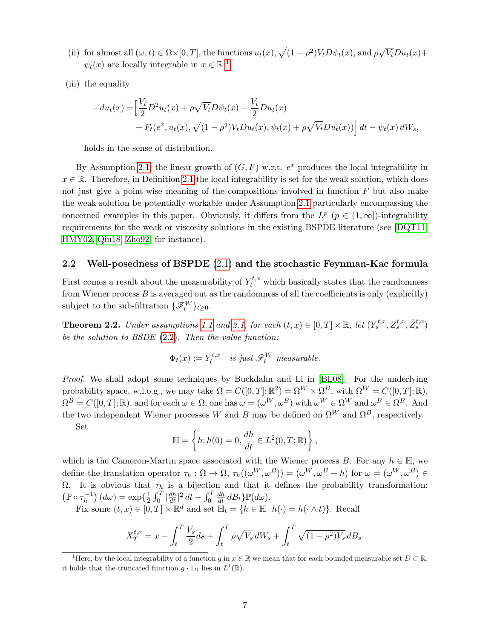- (ii) for almost all  $(\omega, t) \in \Omega \times [0, T]$ , the functions  $u_t(x)$ ,  $\sqrt{(1-\rho^2)V_t}D\psi_t(x)$ , and  $\rho\sqrt{\rho^2}$  $\overline{V_t}Du_t(x)+$  $\psi_t(x)$  are locally integrable in  $x \in \mathbb{R}$ ;<sup>[1](#page-6-0)</sup>
- (iii) the equality

$$
-du_t(x) = \left[\frac{V_t}{2}D^2u_t(x) + \rho\sqrt{V_t}D\psi_t(x) - \frac{V_t}{2}Du_t(x) + F_t(e^x, u_t(x), \sqrt{(1-\rho^2)V_t}Du_t(x), \psi_t(x) + \rho\sqrt{V_t}Du_t(x))\right]dt - \psi_t(x) dW_s,
$$

holds in the sense of distribution.

By Assumption [2.1,](#page-0-1) the linear growth of  $(G, F)$  w.r.t.  $e^x$  produces the local integrability in  $x \in \mathbb{R}$ . Therefore, in Definition [2.1](#page-5-0) the local integrability is set for the weak solution, which does not just give a point-wise meaning of the compositions involved in function  $F$  but also make the weak solution be potentially workable under Assumption [2.1](#page-0-1) particularly encompassing the concerned examples in this paper. Obviously, it differs from the  $L^p$  ( $p \in (1,\infty]$ )-integrability requirements for the weak or viscosity solutions in the existing BSPDE literature (see [\[DQT11,](#page-29-9) [HMY02,](#page-30-2) [Qiu18,](#page-30-7) [Zho92\]](#page-31-1) for instance).

#### 2.2 Well-posedness of BSPDE [\(2.1\)](#page-3-0) and the stochastic Feynman-Kac formula

First comes a result about the measurability of  $Y_t^{t,x}$  which basically states that the randomness from Wiener process  $B$  is averaged out as the randomness of all the coefficients is only (explicitly) subject to the sub-filtration  $\{\mathscr{F}_t^W\}_{t\geq 0}$ .

<span id="page-6-1"></span>**Theorem 2.2.** Under assumptions [1.1](#page-1-0) and [2.1,](#page-0-1) for each  $(t, x) \in [0, T] \times \mathbb{R}$ , let  $(Y_s^{t,x}, Z_s^{t,x}, \tilde{Z}_s^{t,x})$ be the solution to BSDE [\(2.2\)](#page-4-0). Then the value function:

$$
\Phi_t(x) := Y_t^{t,x} \quad \text{is just } \mathscr{F}_t^W\text{-}measurable.
$$

Proof. We shall adopt some techniques by Buckdahn and Li in [\[BL08\]](#page-29-11). For the underlying probability space, w.l.o.g., we may take  $\Omega = C([0, T]; \mathbb{R}^2) = \Omega^W \times \Omega^B$ , with  $\Omega^W = C([0, T]; \mathbb{R})$ ,  $\Omega^B = C([0,T];\mathbb{R})$ , and for each  $\omega \in \Omega$ , one has  $\omega = (\omega^W, \omega^B)$  with  $\omega^W \in \Omega^W$  and  $\omega^B \in \Omega^B$ . And the two independent Wiener processes W and B may be defined on  $\Omega^W$  and  $\Omega^B$ , respectively.

Set

$$
\mathbb{H} = \left\{ h; h(0) = 0, \frac{dh}{dt} \in L^2(0, T; \mathbb{R}) \right\},\
$$

which is the Cameron-Martin space associated with the Wiener process B. For any  $h \in \mathbb{H}$ , we define the translation operator  $\tau_h : \Omega \to \Omega$ ,  $\tau_h((\omega^W, \omega^B)) = (\omega^W, \omega^B + h)$  for  $\omega = (\omega^W, \omega^B) \in$  $Ω$ . It is obvious that  $τ<sub>h</sub>$  is a bijection and that it defines the probability transformation:  $(\mathbb{P} \circ \tau_h^{-1})$  $\binom{-1}{h}(d\omega) = \exp\{\frac{1}{2}\}$  $\frac{1}{2} \int_0^T |\frac{dh}{dt}|^2 dt - \int_0^T$  $\frac{dh}{dt} dB_t$ } $\mathbb{P}(d\omega)$ .

Fix some  $(t, x) \in [0, T] \times \mathbb{R}^d$  and set  $\mathbb{H}_t = \{h \in \mathbb{H} \mid h(\cdot) = h(\cdot \wedge t)\}\.$  Recall

$$
X_T^{t,x} = x - \int_t^T \frac{V_s}{2} ds + \int_t^T \rho \sqrt{V_s} dW_s + \int_t^T \sqrt{(1 - \rho^2)V_s} dB_s.
$$

<span id="page-6-0"></span><sup>&</sup>lt;sup>1</sup>Here, by the local integrability of a function g in  $x \in \mathbb{R}$  we mean that for each bounded measurable set  $D \subset \mathbb{R}$ , it holds that the truncated function  $g \cdot 1_D$  lies in  $L^1(\mathbb{R})$ .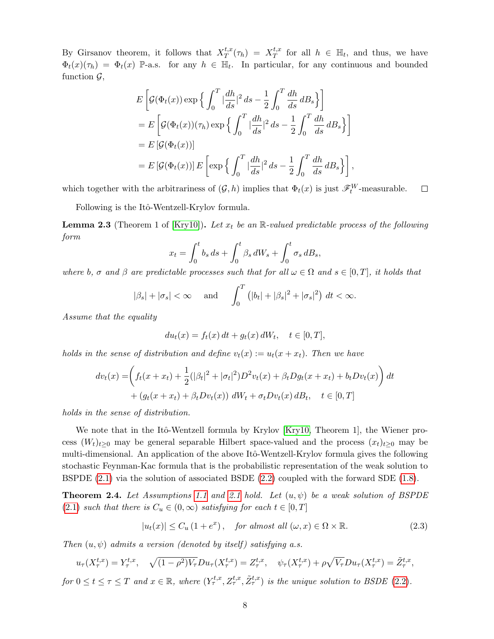By Girsanov theorem, it follows that  $X^{t,x}_T$  $T^{t,x}(\tau_h) = X^{t,x}_T$  $t^{t,x}_T$  for all  $h \in \mathbb{H}_t$ , and thus, we have  $\Phi_t(x)(\tau_h) = \Phi_t(x)$  P-a.s. for any  $h \in \mathbb{H}_t$ . In particular, for any continuous and bounded function  $\mathcal{G}$ ,

$$
E\left[\mathcal{G}(\Phi_t(x))\exp\left\{\int_0^T |\frac{dh}{ds}|^2 ds - \frac{1}{2}\int_0^T \frac{dh}{ds} dB_s\right\}\right]
$$
  
=  $E\left[\mathcal{G}(\Phi_t(x))(\tau_h)\exp\left\{\int_0^T |\frac{dh}{ds}|^2 ds - \frac{1}{2}\int_0^T \frac{dh}{ds} dB_s\right\}\right]$   
=  $E\left[\mathcal{G}(\Phi_t(x))\right]$   
=  $E\left[\mathcal{G}(\Phi_t(x))\right]E\left[\exp\left\{\int_0^T |\frac{dh}{ds}|^2 ds - \frac{1}{2}\int_0^T \frac{dh}{ds} dB_s\right\}\right],$ 

which together with the arbitrariness of  $(G, h)$  implies that  $\Phi_t(x)$  is just  $\mathscr{F}_t^W$ -measurable.  $\Box$ 

Following is the Itô-Wentzell-Krylov formula.

<span id="page-7-0"></span>**Lemma 2.3** (Theorem 1 of [\[Kry10\]](#page-30-6)). Let  $x_t$  be an R-valued predictable process of the following form

$$
x_t = \int_0^t b_s ds + \int_0^t \beta_s dW_s + \int_0^t \sigma_s dB_s,
$$

where b,  $\sigma$  and  $\beta$  are predictable processes such that for all  $\omega \in \Omega$  and  $s \in [0, T]$ , it holds that

$$
|\beta_s| + |\sigma_s| < \infty
$$
 and  $\int_0^T (|b_t| + |\beta_s|^2 + |\sigma_s|^2) dt < \infty$ .

Assume that the equality

$$
du_t(x) = f_t(x) dt + g_t(x) dW_t, \quad t \in [0, T],
$$

holds in the sense of distribution and define  $v_t(x) := u_t(x + x_t)$ . Then we have

$$
dv_t(x) = \left( f_t(x + x_t) + \frac{1}{2} (|\beta_t|^2 + |\sigma_t|^2) D^2 v_t(x) + \beta_t D g_t(x + x_t) + b_t D v_t(x) \right) dt + (g_t(x + x_t) + \beta_t D v_t(x)) dW_t + \sigma_t D v_t(x) dB_t, \quad t \in [0, T]
$$

holds in the sense of distribution.

We note that in the Itô-Wentzell formula by Krylov [\[Kry10,](#page-30-6) Theorem 1], the Wiener process  $(W_t)_{t\geq0}$  may be general separable Hilbert space-valued and the process  $(x_t)_{t\geq0}$  may be multi-dimensional. An application of the above Itô-Wentzell-Krylov formula gives the following stochastic Feynman-Kac formula that is the probabilistic representation of the weak solution to BSPDE [\(2.1\)](#page-3-0) via the solution of associated BSDE [\(2.2\)](#page-4-0) coupled with the forward SDE [\(1.8\)](#page-2-1).

<span id="page-7-2"></span>**Theorem 2.4.** Let Assumptions [1.1](#page-1-0) and [2.1](#page-0-1) hold. Let  $(u, \psi)$  be a weak solution of BSPDE [\(2.1\)](#page-3-0) such that there is  $C_u \in (0,\infty)$  satisfying for each  $t \in [0,T]$ 

<span id="page-7-1"></span>
$$
|u_t(x)| \le C_u \left(1 + e^x\right), \quad \text{for almost all } (\omega, x) \in \Omega \times \mathbb{R}.
$$
 (2.3)

Then  $(u, \psi)$  admits a version (denoted by itself) satisfying a.s.

$$
u_{\tau}(X_{\tau}^{t,x}) = Y_{\tau}^{t,x}, \quad \sqrt{(1-\rho^2)V_{\tau}}Du_{\tau}(X_{\tau}^{t,x}) = Z_{\tau}^{t,x}, \quad \psi_{\tau}(X_{\tau}^{t,x}) + \rho\sqrt{V_{\tau}}Du_{\tau}(X_{\tau}^{t,x}) = \tilde{Z}_{\tau}^{t,x},
$$

for  $0 \le t \le \tau \le T$  and  $x \in \mathbb{R}$ , where  $(Y^{t,x}_{\tau}, Z^{t,x}_{\tau}, \tilde{Z}^{t,x}_{\tau})$  is the unique solution to BSDE [\(2.2\)](#page-4-0).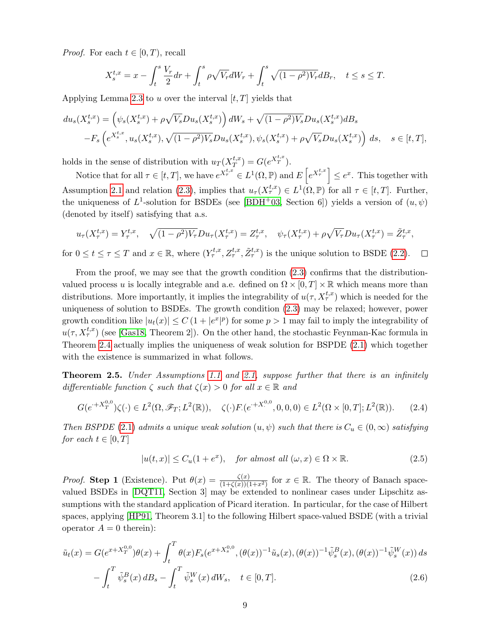*Proof.* For each  $t \in [0, T)$ , recall

$$
X_s^{t,x} = x - \int_t^s \frac{V_r}{2} dr + \int_t^s \rho \sqrt{V_r} dW_r + \int_t^s \sqrt{(1 - \rho^2)V_r} dB_r, \quad t \le s \le T.
$$

Applying Lemma [2.3](#page-7-0) to u over the interval  $[t, T]$  yields that

$$
du_s(X_s^{t,x}) = (\psi_s(X_s^{t,x}) + \rho \sqrt{V_s} Du_s(X_s^{t,x})) dW_s + \sqrt{(1-\rho^2)V_s} Du_s(X_s^{t,x}) dB_s
$$
  

$$
-F_s(e^{X_s^{t,x}}, u_s(X_s^{t,x}), \sqrt{(1-\rho^2)V_s} Du_s(X_s^{t,x}), \psi_s(X_s^{t,x}) + \rho \sqrt{V_s} Du_s(X_s^{t,x})\big) ds, \quad s \in [t, T],
$$

holds in the sense of distribution with  $u_T(X_T^{t,x})$  $T^{t,x}_{T}$ ) =  $G(e^{X_T^{t,x}})$ .

Notice that for all  $\tau \in [t, T]$ , we have  $e^{X_{\tau}^{t,x}} \in L^1(\Omega, \mathbb{P})$  and  $E\left[e^{X_{\tau}^{t,x}}\right] \leq e^x$ . This together with Assumption [2.1](#page-0-1) and relation [\(2.3\)](#page-7-1), implies that  $u_{\tau}(X_{\tau}^{t,x}) \in L^{1}(\Omega,\mathbb{P})$  for all  $\tau \in [t,T]$ . Further, the uniqueness of  $L^1$ -solution for BSDEs (see [\[BDH](#page-28-2)<sup>+</sup>03, Section 6]) yields a version of  $(u, \psi)$ (denoted by itself) satisfying that a.s.

$$
u_{\tau}(X_{\tau}^{t,x}) = Y_{\tau}^{t,x}, \quad \sqrt{(1-\rho^2)V_{\tau}}Du_{\tau}(X_{\tau}^{t,x}) = Z_{\tau}^{t,x}, \quad \psi_{\tau}(X_{\tau}^{t,x}) + \rho\sqrt{V_{\tau}}Du_{\tau}(X_{\tau}^{t,x}) = \tilde{Z}_{\tau}^{t,x},
$$

for  $0 \le t \le \tau \le T$  and  $x \in \mathbb{R}$ , where  $(Y^{t,x}_{\tau}, Z^{t,x}_{\tau}, \tilde{Z}^{t,x}_{\tau})$  is the unique solution to BSDE [\(2.2\)](#page-4-0).  $\Box$ 

From the proof, we may see that the growth condition [\(2.3\)](#page-7-1) confirms that the distributionvalued process u is locally integrable and a.e. defined on  $\Omega \times [0, T] \times \mathbb{R}$  which means more than distributions. More importantly, it implies the integrability of  $u(\tau, X_{\tau}^{t,x})$  which is needed for the uniqueness of solution to BSDEs. The growth condition [\(2.3\)](#page-7-1) may be relaxed; however, power growth condition like  $|u_t(x)| \leq C (1+|e^x|^p)$  for some  $p > 1$  may fail to imply the integrability of  $u(\tau, X_{\tau}^{t,x})$  (see [\[Gas18,](#page-29-7) Theorem 2]). On the other hand, the stochastic Feynman-Kac formula in Theorem [2.4](#page-7-2) actually implies the uniqueness of weak solution for BSPDE [\(2.1\)](#page-3-0) which together with the existence is summarized in what follows.

<span id="page-8-3"></span>**Theorem 2.5.** Under Assumptions [1.1](#page-1-0) and [2.1,](#page-0-1) suppose further that there is an infinitely differentiable function  $\zeta$  such that  $\zeta(x) > 0$  for all  $x \in \mathbb{R}$  and

$$
G(e^{+X_T^{0,0}})\zeta(\cdot) \in L^2(\Omega, \mathscr{F}_T; L^2(\mathbb{R})), \quad \zeta(\cdot)F(e^{+X^{0,0}}, 0, 0, 0) \in L^2(\Omega \times [0, T]; L^2(\mathbb{R})).\tag{2.4}
$$

Then BSPDE [\(2.1\)](#page-3-0) admits a unique weak solution  $(u, \psi)$  such that there is  $C_u \in (0, \infty)$  satisfying for each  $t \in [0, T]$ 

<span id="page-8-2"></span><span id="page-8-1"></span><span id="page-8-0"></span>
$$
|u(t,x)| \le C_u(1+e^x), \quad \text{for almost all } (\omega, x) \in \Omega \times \mathbb{R}.
$$
 (2.5)

*Proof.* Step 1 (Existence). Put  $\theta(x) = \frac{\zeta(x)}{(1+\zeta(x))(1+x^2)}$  for  $x \in \mathbb{R}$ . The theory of Banach spacevalued BSDEs in [\[DQT11,](#page-29-9) Section 3] may be extended to nonlinear cases under Lipschitz assumptions with the standard application of Picard iteration. In particular, for the case of Hilbert spaces, applying [\[HP91,](#page-30-8) Theorem 3.1] to the following Hilbert space-valued BSDE (with a trivial operator  $A = 0$  therein):

$$
\tilde{u}_t(x) = G(e^{x+X_T^{0,0}})\theta(x) + \int_t^T \theta(x) F_s(e^{x+X_s^{0,0}}, (\theta(x))^{-1}\tilde{u}_s(x), (\theta(x))^{-1}\tilde{\psi}_s^B(x), (\theta(x))^{-1}\tilde{\psi}_s^W(x)) ds - \int_t^T \tilde{\psi}_s^B(x) dB_s - \int_t^T \tilde{\psi}_s^W(x) dW_s, \quad t \in [0, T].
$$
\n(2.6)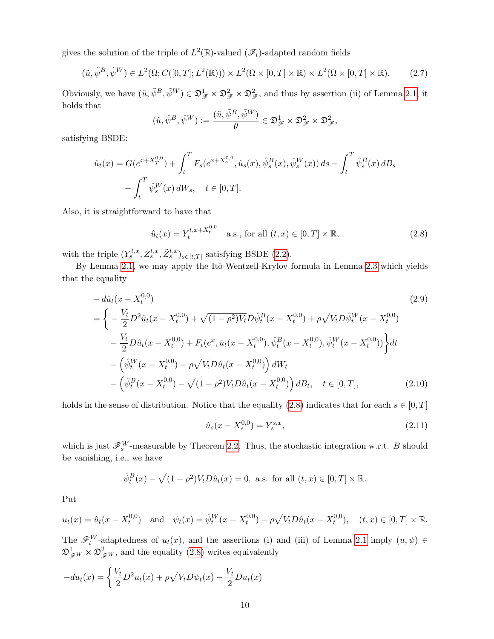gives the solution of the triple of  $L^2(\mathbb{R})$ -valued  $(\mathscr{F}_t)$ -adapted random fields

$$
(\tilde{u}, \tilde{\psi}^B, \tilde{\psi}^W) \in L^2(\Omega; C([0, T]; L^2(\mathbb{R}))) \times L^2(\Omega \times [0, T] \times \mathbb{R}) \times L^2(\Omega \times [0, T] \times \mathbb{R}).
$$
 (2.7)

Obviously, we have  $(\tilde{u}, \tilde{\psi}^B, \tilde{\psi}^W) \in \mathfrak{D}_{\mathscr{F}}^1 \times \mathfrak{D}_{\mathscr{F}}^2 \times \mathfrak{D}_{\mathscr{F}}^2$ , and thus by assertion (ii) of Lemma [2.1,](#page-5-1) it holds that

<span id="page-9-1"></span>
$$
(\hat{u}, \hat{\psi}^B, \hat{\psi}^W) := \frac{(\tilde{u}, \tilde{\psi}^B, \tilde{\psi}^W)}{\theta} \in \mathfrak{D}_{\mathscr{F}}^1 \times \mathfrak{D}_{\mathscr{F}}^2 \times \mathfrak{D}_{\mathscr{F}}^2,
$$

satisfying BSDE:

$$
\hat{u}_t(x) = G(e^{x+X_T^{0,0}}) + \int_t^T F_s(e^{x+X_s^{0,0}}, \hat{u}_s(x), \hat{\psi}_s^B(x), \hat{\psi}_s^W(x)) ds - \int_t^T \hat{\psi}_s^B(x) dB_s
$$

$$
- \int_t^T \hat{\psi}_s^W(x) dW_s, \quad t \in [0, T].
$$

Also, it is straightforward to have that

<span id="page-9-0"></span>
$$
\hat{u}_t(x) = Y_t^{t, x + X_t^{0,0}} \quad \text{a.s., for all } (t, x) \in [0, T] \times \mathbb{R}, \tag{2.8}
$$

with the triple  $(Y_s^{t,x}, Z_s^{t,x}, \tilde{Z}_s^{t,x})_{s \in [t,T]}$  satisfying BSDE [\(2.2\)](#page-4-0).

By Lemma [2.1,](#page-5-1) we may apply the Itô-Wentzell-Krylov formula in Lemma [2.3](#page-7-0) which yields that the equality

$$
- d\hat{u}_t(x - X_t^{0,0})
$$
\n
$$
= \left\{ -\frac{V_t}{2} D^2 \hat{u}_t(x - X_t^{0,0}) + \sqrt{(1 - \rho^2) V_t} D \hat{\psi}_t^B(x - X_t^{0,0}) + \rho \sqrt{V_t} D \hat{\psi}_t^W(x - X_t^{0,0}) - \frac{V_t}{2} D \hat{u}_t(x - X_t^{0,0}) + F_t(e^x, \hat{u}_t(x - X_t^{0,0}), \hat{\psi}_t^B(x - X_t^{0,0}), \hat{\psi}_t^W(x - X_t^{0,0})) \right\} dt - \left( \hat{\psi}_t^W(x - X_t^{0,0}) - \rho \sqrt{V_t} D \hat{u}_t(x - X_t^{0,0}) \right) dW_t - \left( \hat{\psi}_t^B(x - X_t^{0,0}) - \sqrt{(1 - \rho^2) V_t} D \hat{u}_t(x - X_t^{0,0}) \right) dB_t, \quad t \in [0, T],
$$
\n(2.10)

holds in the sense of distribution. Notice that the equality [\(2.8\)](#page-9-0) indicates that for each  $s \in [0, T]$ 

$$
\hat{u}_s(x - X_s^{0,0}) = Y_s^{s,x},\tag{2.11}
$$

which is just  $\mathscr{F}_s^W$ -measurable by Theorem [2.2.](#page-6-1) Thus, the stochastic integration w.r.t. B should be vanishing, i.e., we have

$$
\hat{\psi}_t^B(x) - \sqrt{(1-\rho^2)V_t}D\hat{u}_t(x) = 0
$$
, a.s. for all  $(t, x) \in [0, T] \times \mathbb{R}$ .

Put

$$
u_t(x) = \hat{u}_t(x - X_t^{0,0})
$$
 and  $\psi_t(x) = \hat{\psi}_t^W(x - X_t^{0,0}) - \rho \sqrt{V_t} D \hat{u}_t(x - X_t^{0,0}), \quad (t, x) \in [0, T] \times \mathbb{R}.$ 

The  $\mathscr{F}^W_t$ -adaptedness of  $u_t(x)$ , and the assertions (i) and (iii) of Lemma [2.1](#page-5-1) imply  $(u, \psi) \in$  $\mathfrak{D}^1_{\mathscr{F}W} \times \mathfrak{D}^2_{\mathscr{F}W}$ , and the equality [\(2.8\)](#page-9-0) writes equivalently

$$
-du_t(x) = \left\{ \frac{V_t}{2} D^2 u_t(x) + \rho \sqrt{V_t} D \psi_t(x) - \frac{V_t}{2} D u_t(x) \right\}
$$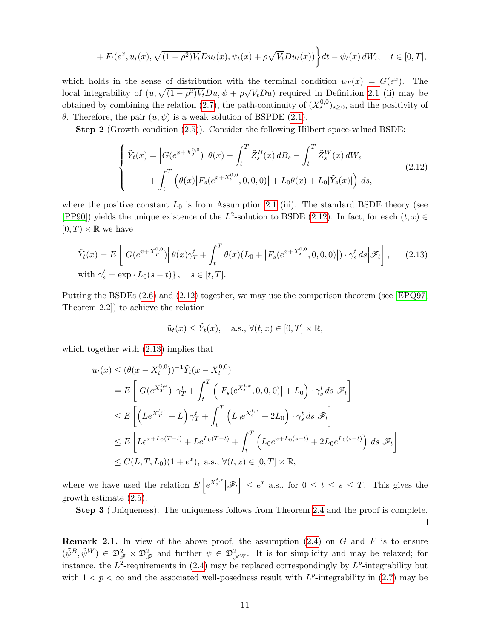$$
+ F_t(e^x, u_t(x), \sqrt{(1 - \rho^2)V_t}Du_t(x), \psi_t(x) + \rho\sqrt{V_t}Du_t(x))\bigg\}dt - \psi_t(x) dW_t, \quad t \in [0, T],
$$

which holds in the sense of distribution with the terminal condition  $u_T(x) = G(e^x)$ . The which holds in the sense of distribution with the local integrability of  $(u, \sqrt{(1-\rho^2)V_t}Du, \psi + \rho\sqrt{\rho^2})$  $\overline{V_t}Du$  required in Definition [2.1](#page-5-0) (ii) may be obtained by combining the relation [\(2.7\)](#page-9-1), the path-continuity of  $(X_s^{0,0})_{s\geq 0}$ , and the positivity of θ. Therefore, the pair  $(u, ψ)$  is a weak solution of BSPDE [\(2.1\)](#page-3-0).

Step 2 (Growth condition [\(2.5\)](#page-8-0)). Consider the following Hilbert space-valued BSDE:

<span id="page-10-0"></span>
$$
\begin{cases}\n\tilde{Y}_t(x) = \left| G(e^{x + X_T^{0,0}}) \right| \theta(x) - \int_t^T \tilde{Z}_s^B(x) \, dB_s - \int_t^T \tilde{Z}_s^W(x) \, dW_s \\
+ \int_t^T \left( \theta(x) |F_s(e^{x + X_s^{0,0}}, 0, 0, 0)| + L_0 \theta(x) + L_0|\tilde{Y}_s(x)| \right) \, ds,\n\end{cases} \tag{2.12}
$$

where the positive constant  $L_0$  is from Assumption [2.1](#page-0-1) (iii). The standard BSDE theory (see [\[PP90\]](#page-30-9)) yields the unique existence of the  $L^2$ -solution to BSDE [\(2.12\)](#page-10-0). In fact, for each  $(t, x) \in$  $[0, T] \times \mathbb{R}$  we have

$$
\tilde{Y}_t(x) = E\left[ \left| G(e^{x+X_T^{0,0}}) \right| \theta(x) \gamma_T^t + \int_t^T \theta(x) (L_0 + |F_s(e^{x+X_s^{0,0}}, 0, 0, 0)|) \cdot \gamma_s^t ds \Big| \mathcal{F}_t \right],
$$
\n(2.13)

\nwith  $\gamma_s^t = \exp\{L_0(s-t)\}, \quad s \in [t, T].$ 

Putting the BSDEs [\(2.6\)](#page-8-1) and [\(2.12\)](#page-10-0) together, we may use the comparison theorem (see [\[EPQ97,](#page-29-12) Theorem 2.2]) to achieve the relation

<span id="page-10-1"></span>
$$
\tilde{u}_t(x) \leq \tilde{Y}_t(x)
$$
, a.s.,  $\forall (t, x) \in [0, T] \times \mathbb{R}$ ,

which together with  $(2.13)$  implies that

$$
u_t(x) \leq (\theta(x - X_t^{0,0}))^{-1} \tilde{Y}_t(x - X_t^{0,0})
$$
  
\n
$$
= E\left[ |G(e^{X_T^{t,x}})| \gamma_T^t + \int_t^T \left( |F_s(e^{X_s^{t,x}}, 0, 0, 0)| + L_0 \right) \cdot \gamma_s^t ds | \mathcal{F}_t \right]
$$
  
\n
$$
\leq E\left[ \left( Le^{X_T^{t,x}} + L \right) \gamma_T^t + \int_t^T \left( L_0 e^{X_s^{t,x}} + 2L_0 \right) \cdot \gamma_s^t ds | \mathcal{F}_t \right]
$$
  
\n
$$
\leq E\left[ Le^{x + L_0(T - t)} + Le^{L_0(T - t)} + \int_t^T \left( L_0 e^{x + L_0(s - t)} + 2L_0 e^{L_0(s - t)} \right) ds | \mathcal{F}_t \right]
$$
  
\n
$$
\leq C(L, T, L_0)(1 + e^x), \text{ a.s., } \forall (t, x) \in [0, T] \times \mathbb{R},
$$

where we have used the relation  $E\left[e^{X_s^{t,x}}|\mathscr{F}_t\right] \leq e^x$  a.s., for  $0 \leq t \leq s \leq T$ . This gives the growth estimate [\(2.5\)](#page-8-0).

Step 3 (Uniqueness). The uniqueness follows from Theorem [2.4](#page-7-2) and the proof is complete.  $\Box$ 

**Remark 2.1.** In view of the above proof, the assumption  $(2.4)$  on G and F is to ensure  $(\tilde{\psi}^B, \tilde{\psi}^W) \in \mathfrak{D}_{\mathscr{F}}^2 \times \mathfrak{D}_{\mathscr{F}}^2$  and further  $\psi \in \mathfrak{D}_{\mathscr{F}W}^2$ . It is for simplicity and may be relaxed; for instance, the  $L^2$ -requirements in [\(2.4\)](#page-8-2) may be replaced correspondingly by  $L^p$ -integrability but with  $1 < p < \infty$  and the associated well-posedness result with  $L^p$ -integrability in [\(2.7\)](#page-9-1) may be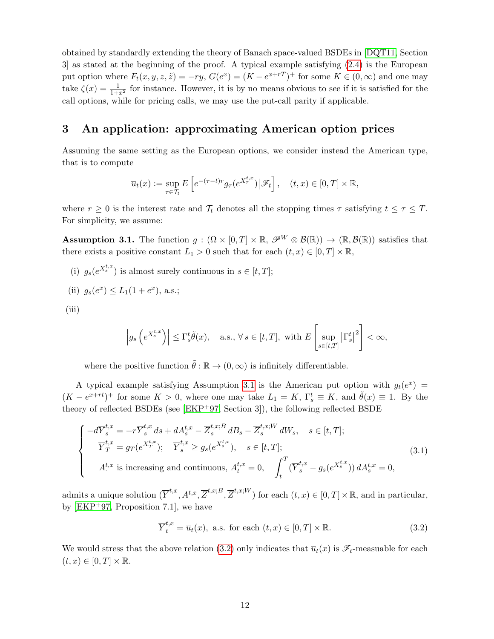obtained by standardly extending the theory of Banach space-valued BSDEs in [\[DQT11,](#page-29-9) Section 3] as stated at the beginning of the proof. A typical example satisfying [\(2.4\)](#page-8-2) is the European put option where  $F_t(x, y, z, \tilde{z}) = -ry$ ,  $G(e^x) = (K - e^{x+r})^+$  for some  $K \in (0, \infty)$  and one may take  $\zeta(x) = \frac{1}{1+x^2}$  for instance. However, it is by no means obvious to see if it is satisfied for the call options, while for pricing calls, we may use the put-call parity if applicable.

## 3 An application: approximating American option prices

Assuming the same setting as the European options, we consider instead the American type, that is to compute

$$
\overline{u}_t(x) := \sup_{\tau \in \mathcal{T}_t} E\left[e^{-(\tau - t)r} g_\tau(e^{X_\tau^{t,x}})|\mathscr{F}_t\right], \quad (t, x) \in [0, T] \times \mathbb{R},
$$

where  $r \geq 0$  is the interest rate and  $\mathcal{T}_t$  denotes all the stopping times  $\tau$  satisfying  $t \leq \tau \leq T$ . For simplicity, we assume:

<span id="page-11-0"></span>**Assumption 3.1.** The function  $g : (\Omega \times [0,T] \times \mathbb{R}, \mathscr{P}^W \otimes \mathcal{B}(\mathbb{R})) \to (\mathbb{R}, \mathcal{B}(\mathbb{R}))$  satisfies that there exists a positive constant  $L_1 > 0$  such that for each  $(t, x) \in [0, T] \times \mathbb{R}$ ,

- (i)  $g_s(e^{X_s^{t,x}})$  is almost surely continuous in  $s \in [t, T]$ ;
- (ii)  $g_s(e^x) \le L_1(1+e^x)$ , a.s.;
- (iii)

$$
\left| g_s \left( e^{X_s^{t,x}} \right) \right| \le \Gamma_s^t \tilde{\theta}(x), \quad \text{a.s., } \forall \, s \in [t, T], \text{ with } E\left[ \sup_{s \in [t, T]} \left| \Gamma_s^t \right|^2 \right] < \infty,
$$

where the positive function  $\tilde{\theta} : \mathbb{R} \to (0, \infty)$  is infinitely differentiable.

A typical example satisfying Assumption [3.1](#page-11-0) is the American put option with  $g_t(e^x)$  =  $(K - e^{x+rt})^+$  for some  $K > 0$ , where one may take  $L_1 = K$ ,  $\Gamma_s^t \equiv K$ , and  $\tilde{\theta}(x) \equiv 1$ . By the theory of reflected BSDEs (see [\[EKP](#page-29-13)+97, Section 3]), the following reflected BSDE

<span id="page-11-2"></span>
$$
\begin{cases}\n-d\overline{Y}_{s}^{t,x} = -r\overline{Y}_{s}^{t,x} ds + dA_{s}^{t,x} - \overline{Z}_{s}^{t,x;B} dB_{s} - \overline{Z}_{s}^{t,x;W} dW_{s}, \quad s \in [t, T]; \\
\overline{Y}_{T}^{t,x} = g_{T}(e^{X_{T}^{t,x}}); \quad \overline{Y}_{s}^{t,x} \ge g_{s}(e^{X_{s}^{t,x}}), \quad s \in [t, T]; \\
A_{\cdot}^{t,x} \text{ is increasing and continuous}, A_{t}^{t,x} = 0, \quad \int_{t}^{T} (\overline{Y}_{s}^{t,x} - g_{s}(e^{X_{s}^{t,x}})) dA_{s}^{t,x} = 0,\n\end{cases}
$$
\n(3.1)

admits a unique solution  $(\overline{Y}^{t,x}, A^{t,x}, \overline{Z}^{t,x;B}, \overline{Z}^{t,x;W})$  for each  $(t, x) \in [0, T] \times \mathbb{R}$ , and in particular, by  $[EKP<sup>+</sup>97, Proposition 7.1],$  we have

<span id="page-11-1"></span>
$$
\overline{Y}_t^{t,x} = \overline{u}_t(x), \text{ a.s. for each } (t,x) \in [0,T] \times \mathbb{R}.
$$
 (3.2)

We would stress that the above relation [\(3.2\)](#page-11-1) only indicates that  $\overline{u}_t(x)$  is  $\mathscr{F}_t$ -measuable for each  $(t, x) \in [0, T] \times \mathbb{R}$ .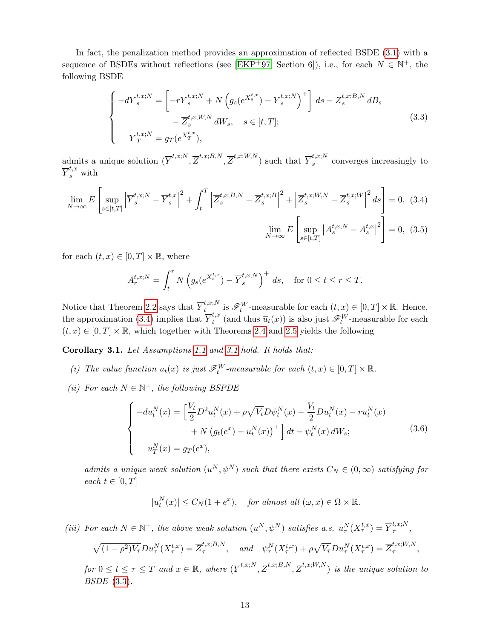In fact, the penalization method provides an approximation of reflected BSDE [\(3.1\)](#page-11-2) with a sequence of BSDEs without reflections (see [\[EKP](#page-29-13)<sup>+</sup>97, Section 6]), i.e., for each  $N \in \mathbb{N}^+$ , the following BSDE

<span id="page-12-1"></span>
$$
\begin{cases}\n-d\overline{Y}_{s}^{t,x;N} = \left[-r\overline{Y}_{s}^{t,x;N} + N\left(g_{s}(e^{X_{s}^{t,x}}) - \overline{Y}_{s}^{t,x;N}\right)^{+}\right] ds - \overline{Z}_{s}^{t,x;B,N} dB_{s} \\
-\overline{Z}_{s}^{t,x;W,N} dW_{s}, \quad s \in [t,T]; \\
\overline{Y}_{T}^{t,x;N} = g_{T}(e^{X_{T}^{t,x}}),\n\end{cases}
$$
\n(3.3)

admits a unique solution  $(\overline{Y}^{t,x;N},\overline{Z}^{t,x;B,N},\overline{Z}^{t,x;W,N})$  such that  $\overline{Y}_s^{t,x;N}$  $s^{t,x,y}$  converges increasingly to  $\overline{Y}^{t,x}_s$  with

$$
\lim_{N \to \infty} E\left[\sup_{s \in [t,T]} \left| \overline{Y}_s^{t,x;N} - \overline{Y}_s^{t,x} \right|^2 + \int_t^T \left| \overline{Z}_s^{t,x;B,N} - \overline{Z}_s^{t,x;B} \right|^2 + \left| \overline{Z}_s^{t,x;W,N} - \overline{Z}_s^{t,x;W} \right|^2 ds \right] = 0, (3.4)
$$
\n
$$
\lim_{N \to \infty} E\left[\sup_{s \in [t,T]} \left| A_s^{t,x;N} - A_s^{t,x} \right|^2 \right] = 0, (3.5)
$$

for each  $(t, x) \in [0, T] \times \mathbb{R}$ , where

<span id="page-12-2"></span><span id="page-12-0"></span>
$$
A_r^{t,x;N} = \int_t^r N\left(g_s(e^{X_s^{t,x}}) - \overline{Y}_s^{t,x;N}\right)^+ ds, \text{ for } 0 \le t \le r \le T.
$$

Notice that Theorem [2.2](#page-6-1) says that  $\overline{Y}^{t,x;N}_{t}$  $t^{t,x,N}_{t}$  is  $\mathscr{F}^{W}_{t}$ -measurable for each  $(t, x) \in [0, T] \times \mathbb{R}$ . Hence, the approximation [\(3.4\)](#page-12-0) implies that  $\overline{Y}^{t,x}_t$  $t_t^{t,x}$  (and thus  $\overline{u}_t(x)$ ) is also just  $\mathscr{F}_t^W$ -measurable for each  $(t, x) \in [0, T] \times \mathbb{R}$ , which together with Theorems [2.4](#page-7-2) and [2.5](#page-8-3) yields the following

<span id="page-12-3"></span>Corollary 3.1. Let Assumptions [1.1](#page-1-0) and [3.1](#page-11-0) hold. It holds that:

- (i) The value function  $\overline{u}_t(x)$  is just  $\mathscr{F}_t^W$ -measurable for each  $(t, x) \in [0, T] \times \mathbb{R}$ .
- (ii) For each  $N \in \mathbb{N}^+$ , the following BSPDE

$$
\begin{cases}\n-du_t^N(x) = \left[\frac{V_t}{2}D^2u_t^N(x) + \rho\sqrt{V_t}D\psi_t^N(x) - \frac{V_t}{2}Du_t^N(x) - ru_t^N(x) \\
+ N\left(g_t(e^x) - u_t^N(x)\right)^+\right]dt - \psi_t^N(x)\,dW_s; \\
u_T^N(x) = g_T(e^x),\n\end{cases} \tag{3.6}
$$

admits a unique weak solution  $(u^N, \psi^N)$  such that there exists  $C_N \in (0, \infty)$  satisfying for each  $t \in [0, T]$ 

$$
|u_t^N(x)| \le C_N(1+e^x), \quad \text{for almost all } (\omega, x) \in \Omega \times \mathbb{R}.
$$

(iii) For each  $N \in \mathbb{N}^+$ , the above weak solution  $(u^N, \psi^N)$  satisfies a.s.  $u^N_\tau(X^{t,x}_\tau) = \overline{Y}^{t,x;N}_\tau$  $\overset{\iota, \iota, \iota}{\tau},$ 

$$
\sqrt{(1-\rho^2)V_{\tau}}Du_{\tau}^N(X_{\tau}^{t,x}) = \overline{Z}_{\tau}^{t,x;B,N}, \text{ and } \psi_{\tau}^N(X_{\tau}^{t,x}) + \rho\sqrt{V_{\tau}}Du_{\tau}^N(X_{\tau}^{t,x}) = \overline{Z}_{\tau}^{t,x;W,N},
$$
  
for  $0 \le t \le \tau \le T$  and  $x \in \mathbb{R}$ , where  $(\overline{Y}^{t,x;N}, \overline{Z}^{t,x;B,N}, \overline{Z}^{t,x;W,N})$  is the unique solution to  
BSDE (3.3).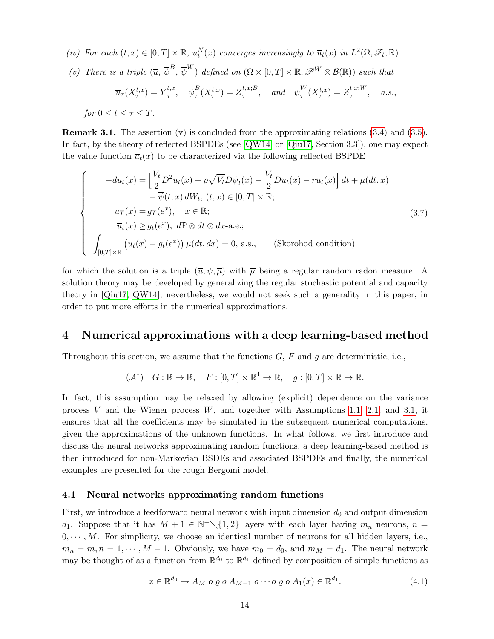- (iv) For each  $(t, x) \in [0, T] \times \mathbb{R}$ ,  $u_t^N(x)$  converges increasingly to  $\overline{u}_t(x)$  in  $L^2(\Omega, \mathscr{F}_t; \mathbb{R})$ .
- (v) There is a triple  $(\overline{u}, \overline{\psi}^B, \overline{\psi}^W)$  defined on  $(\Omega \times [0, T] \times \mathbb{R}, \mathscr{P}^W \otimes \mathcal{B}(\mathbb{R}))$  such that

$$
\overline{u}_{\tau}(X_{\tau}^{t,x}) = \overline{Y}_{\tau}^{t,x}, \quad \overline{\psi}_{\tau}^{B}(X_{\tau}^{t,x}) = \overline{Z}_{\tau}^{t,x;B}, \quad \text{and} \quad \overline{\psi}_{\tau}^{W}(X_{\tau}^{t,x}) = \overline{Z}_{\tau}^{t,x;W}, \quad a.s.,
$$
  
for  $0 \le t \le \tau \le T$ .

**Remark 3.1.** The assertion (v) is concluded from the approximating relations  $(3.4)$  and  $(3.5)$ . In fact, by the theory of reflected BSPDEs (see [\[QW14\]](#page-31-2) or [\[Qiu17,](#page-30-10) Section 3.3]), one may expect the value function  $\overline{u}_t(x)$  to be characterized via the following reflected BSPDE

$$
\begin{cases}\n-d\overline{u}_t(x) = \left[\frac{V_t}{2}D^2\overline{u}_t(x) + \rho\sqrt{V_t}D\overline{\psi}_t(x) - \frac{V_t}{2}D\overline{u}_t(x) - r\overline{u}_t(x)\right]dt + \overline{\mu}(dt,x) \\
-\overline{\psi}(t,x) dW_t, (t,x) \in [0,T] \times \mathbb{R}; \\
\overline{u}_T(x) = g_T(e^x), \quad x \in \mathbb{R}; \\
\overline{u}_t(x) \ge g_t(e^x), d\mathbb{P} \otimes dt \otimes dx \text{-a.e.}; \\
\int_{[0,T] \times \mathbb{R}} (\overline{u}_t(x) - g_t(e^x)) \overline{\mu}(dt, dx) = 0, \text{ a.s.}, \qquad \text{(Skorohod condition)}\n\end{cases} \tag{3.7}
$$

for which the solution is a triple  $(\overline{u}, \overline{\psi}, \overline{\mu})$  with  $\overline{\mu}$  being a regular random radon measure. A solution theory may be developed by generalizing the regular stochastic potential and capacity theory in [\[Qiu17,](#page-30-10) [QW14\]](#page-31-2); nevertheless, we would not seek such a generality in this paper, in order to put more efforts in the numerical approximations.

### 4 Numerical approximations with a deep learning-based method

Throughout this section, we assume that the functions  $G$ ,  $F$  and  $g$  are deterministic, i.e.,

$$
(\mathcal{A}^*) \quad G: \mathbb{R} \to \mathbb{R}, \quad F: [0, T] \times \mathbb{R}^4 \to \mathbb{R}, \quad g: [0, T] \times \mathbb{R} \to \mathbb{R}.
$$

In fact, this assumption may be relaxed by allowing (explicit) dependence on the variance process V and the Wiener process  $W$ , and together with Assumptions [1.1,](#page-1-0) [2.1,](#page-0-1) and [3.1,](#page-11-0) it ensures that all the coefficients may be simulated in the subsequent numerical computations, given the approximations of the unknown functions. In what follows, we first introduce and discuss the neural networks approximating random functions, a deep learning-based method is then introduced for non-Markovian BSDEs and associated BSPDEs and finally, the numerical examples are presented for the rough Bergomi model.

#### 4.1 Neural networks approximating random functions

First, we introduce a feedforward neural network with input dimension  $d_0$  and output dimension d<sub>1</sub>. Suppose that it has  $M + 1 \in \mathbb{N}^+\setminus\{1,2\}$  layers with each layer having  $m_n$  neurons,  $n =$  $0, \dots, M$ . For simplicity, we choose an identical number of neurons for all hidden layers, i.e.,  $m_n = m, n = 1, \cdots, M-1$ . Obviously, we have  $m_0 = d_0$ , and  $m_M = d_1$ . The neural network may be thought of as a function from  $\mathbb{R}^{d_0}$  to  $\mathbb{R}^{d_1}$  defined by composition of simple functions as

<span id="page-13-0"></span>
$$
x \in \mathbb{R}^{d_0} \mapsto A_M \circ \varrho \circ A_{M-1} \circ \cdots \circ \varrho \circ A_1(x) \in \mathbb{R}^{d_1}.
$$
 (4.1)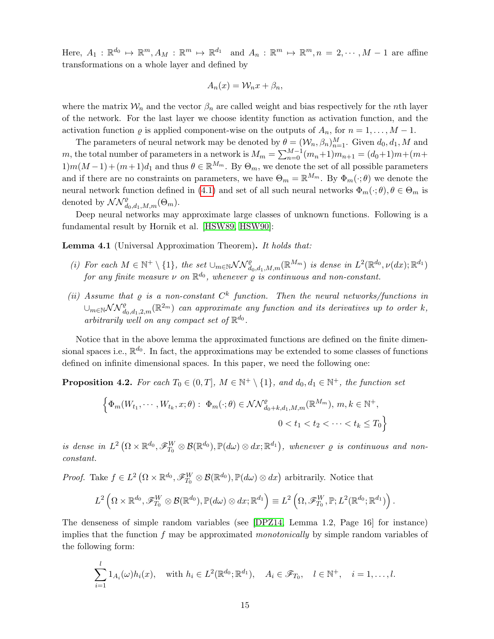Here,  $A_1: \mathbb{R}^{d_0} \mapsto \mathbb{R}^m, A_M: \mathbb{R}^m \mapsto \mathbb{R}^{d_1}$  and  $A_n: \mathbb{R}^m \mapsto \mathbb{R}^m, n = 2, \cdots, M-1$  are affine transformations on a whole layer and defined by

$$
A_n(x) = \mathcal{W}_n x + \beta_n,
$$

where the matrix  $W_n$  and the vector  $\beta_n$  are called weight and bias respectively for the nth layer of the network. For the last layer we choose identity function as activation function, and the activation function  $\varrho$  is applied component-wise on the outputs of  $A_n$ , for  $n = 1, \ldots, M - 1$ .

The parameters of neural network may be denoted by  $\theta = (\mathcal{W}_n, \beta_n)_{n=1}^M$ . Given  $d_0, d_1, M$  and m, the total number of parameters in a network is  $M_m = \sum_{n=0}^{M-1} (m_n+1)m_{n+1} = (d_0+1)m + (m+n)$  $1)m(M-1)+(m+1)d_1$  and thus  $\theta \in \mathbb{R}^{M_m}$ . By  $\Theta_m$ , we denote the set of all possible parameters and if there are no constraints on parameters, we have  $\Theta_m = \mathbb{R}^{M_m}$ . By  $\Phi_m(\cdot; \theta)$  we denote the neural network function defined in [\(4.1\)](#page-13-0) and set of all such neural networks  $\Phi_m(\cdot;\theta), \theta \in \Theta_m$  is denoted by  $\mathcal{NN}^{\varrho}_{d_0,d_1,M,m}(\Theta_m)$ .

Deep neural networks may approximate large classes of unknown functions. Following is a fundamental result by Hornik et al. [\[HSW89,](#page-30-11) [HSW90\]](#page-30-12):

<span id="page-14-0"></span>Lemma 4.1 (Universal Approximation Theorem). It holds that:

- (i) For each  $M \in \mathbb{N}^+ \setminus \{1\}$ , the set  $\cup_{m \in \mathbb{N}} \mathcal{NN}_{d_0,d_1,M,m}^{\varrho}(\mathbb{R}^{M_m})$  is dense in  $L^2(\mathbb{R}^{d_0},\nu(dx);\mathbb{R}^{d_1})$ for any finite measure  $\nu$  on  $\mathbb{R}^{d_0}$ , whenever  $\varrho$  is continuous and non-constant.
- (ii) Assume that  $\varrho$  is a non-constant  $C^k$  function. Then the neural networks/functions in  $\cup_{m\in\mathbb{N}}$ N $\mathcal{N}_{d_0,d_1,2,m}^{\varrho}(\mathbb{R}^{2m})$  can approximate any function and its derivatives up to order k, arbitrarily well on any compact set of  $\mathbb{R}^{d_0}$ .

Notice that in the above lemma the approximated functions are defined on the finite dimensional spaces i.e.,  $\mathbb{R}^{d_0}$ . In fact, the approximations may be extended to some classes of functions defined on infinite dimensional spaces. In this paper, we need the following one:

<span id="page-14-1"></span>**Proposition 4.2.** For each  $T_0 \in (0,T]$ ,  $M \in \mathbb{N}^+ \setminus \{1\}$ , and  $d_0, d_1 \in \mathbb{N}^+$ , the function set

$$
\left\{\Phi_m(W_{t_1},\cdots,W_{t_k},x;\theta): \ \Phi_m(\cdot;\theta)\in \mathcal{NN}^{\varrho}_{d_0+k,d_1,M,m}(\mathbb{R}^{M_m}),\ m,k\in\mathbb{N}^+, \right.\\
0 < t_1 < t_2 < \cdots < t_k \le T_0\right\}
$$

is dense in  $L^2(\Omega\times\mathbb{R}^{d_0},\mathscr{F}^W_{T_0}\otimes\mathcal{B}(\mathbb{R}^{d_0}),\mathbb{P}(d\omega)\otimes dx;\mathbb{R}^{d_1}),$  whenever  $\varrho$  is continuous and nonconstant.

*Proof.* Take  $f \in L^2(\Omega \times \mathbb{R}^{d_0}, \mathscr{F}_{T_0}^W \otimes \mathcal{B}(\mathbb{R}^{d_0}), \mathbb{P}(d\omega) \otimes dx)$  arbitrarily. Notice that

$$
L^2\left(\Omega\times\mathbb{R}^{d_0},\mathscr{F}_{T_0}^W\otimes\mathcal{B}(\mathbb{R}^{d_0}),\mathbb{P}(d\omega)\otimes dx;\mathbb{R}^{d_1}\right)\equiv L^2\left(\Omega,\mathscr{F}_{T_0}^W,\mathbb{P};L^2(\mathbb{R}^{d_0};\mathbb{R}^{d_1})\right).
$$

The denseness of simple random variables (see [\[DPZ14,](#page-29-14) Lemma 1.2, Page 16] for instance) implies that the function  $f$  may be approximated *monotonically* by simple random variables of the following form:

$$
\sum_{i=1}^l 1_{A_i}(\omega)h_i(x), \quad \text{with } h_i \in L^2(\mathbb{R}^{d_0}; \mathbb{R}^{d_1}), \quad A_i \in \mathscr{F}_{T_0}, \quad l \in \mathbb{N}^+, \quad i = 1, \dots, l.
$$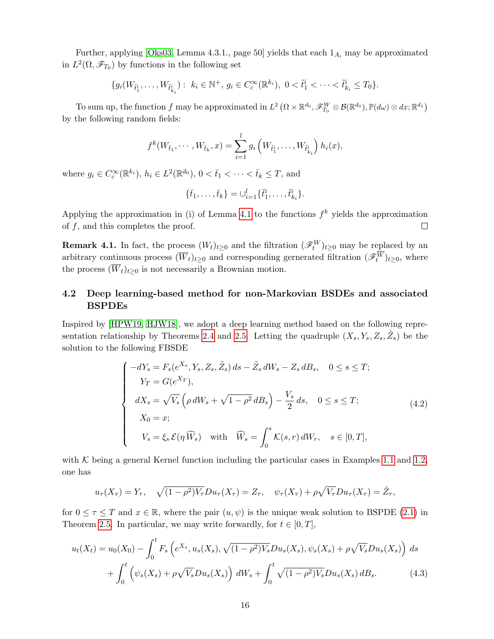Further, applying [\[Oks03,](#page-30-13) Lemma 4.3.1., page 50] yields that each  $1_{A_i}$  may be approximated in  $L^2(\Omega, \mathscr{F}_{T_0})$  by functions in the following set

$$
\{g_i(W_{\tilde{t}_1^i},\ldots,W_{\tilde{t}_{k_i}^i}): k_i\in\mathbb{N}^+, g_i\in C_c^{\infty}(\mathbb{R}^{k_i}), 0<\tilde{t}_1^i<\cdots<\tilde{t}_{k_i}^i\leq T_0\}.
$$

To sum up, the function  $f$  may be approximated in  $L^2(\Omega\times\mathbb{R}^{d_0}, \mathscr{F}^W_{T_0}\otimes\mathcal{B}(\mathbb{R}^{d_0}), \mathbb{P}(d\omega)\otimes dx; \mathbb{R}^{d_1})$ by the following random fields:

$$
f^{k}(W_{\bar{t}_{1}},\cdots,W_{\bar{t}_{k}},x)=\sum_{i=1}^{l}g_{i}\left(W_{\tilde{t}_{1}^{i}},\ldots,W_{\tilde{t}_{k_{i}}^{i}}\right)h_{i}(x),
$$

where  $g_i \in C_c^{\infty}(\mathbb{R}^{k_i})$ ,  $h_i \in L^2(\mathbb{R}^{d_0})$ ,  $0 < \bar{t}_1 < \cdots < \bar{t}_k \leq T$ , and

$$
\{\bar{t}_1, \ldots, \bar{t}_k\} = \bigcup_{i=1}^l \{\tilde{t}_1^i, \ldots, \tilde{t}_{k_i}^i\}.
$$

Applying the approximation in (i) of Lemma [4.1](#page-14-0) to the functions  $f^k$  yields the approximation of  $f$ , and this completes the proof.  $\Box$ 

<span id="page-15-1"></span>**Remark 4.1.** In fact, the process  $(W_t)_{t\geq 0}$  and the filtration  $(\mathscr{F}_t^W)_{t\geq 0}$  may be replaced by an arbitrary continuous process  $(\overline{W}_t)_{t\geq 0}$  and corresponding gernerated filtration  $(\mathscr{F}_t^W)_{t\geq 0}$ , where the process  $(\overline{W}_t)_{t\geq 0}$  is not necessarily a Brownian motion.

### <span id="page-15-2"></span>4.2 Deep learning-based method for non-Markovian BSDEs and associated BSPDEs

Inspired by [\[HPW19,](#page-30-4) [HJW18\]](#page-30-14), we adopt a deep learning method based on the following repre-sentation relationship by Theorems [2.4](#page-7-2) and [2.5.](#page-8-3) Letting the quadruple  $(X_s, Y_s, Z_s, \tilde{Z}_s)$  be the solution to the following FBSDE

$$
\begin{cases}\n-dY_s = F_s(e^{X_s}, Y_s, Z_s, \tilde{Z}_s) ds - \tilde{Z}_s dW_s - Z_s dB_s, & 0 \le s \le T; \\
Y_T = G(e^{X_T}), \\
dX_s = \sqrt{V_s} \left( \rho dW_s + \sqrt{1 - \rho^2} dB_s \right) - \frac{V_s}{2} ds, & 0 \le s \le T; \\
X_0 = x; \\
V_s = \xi_s \mathcal{E}(\eta \widehat{W}_s) \quad \text{with} \quad \widehat{W}_s = \int_0^s \mathcal{K}(s, r) dW_r, & s \in [0, T],\n\end{cases} \tag{4.2}
$$

with  $K$  being a general Kernel function including the particular cases in Examples [1.1](#page-1-1) and [1.2,](#page-1-2) one has

<span id="page-15-0"></span>
$$
u_{\tau}(X_{\tau})=Y_{\tau}, \quad \sqrt{(1-\rho^2)V_{\tau}}Du_{\tau}(X_{\tau})=Z_{\tau}, \quad \psi_{\tau}(X_{\tau})+\rho\sqrt{V_{\tau}}Du_{\tau}(X_{\tau})=\tilde{Z}_{\tau},
$$

for  $0 \leq \tau \leq T$  and  $x \in \mathbb{R}$ , where the pair  $(u, \psi)$  is the unique weak solution to BSPDE [\(2.1\)](#page-3-0) in Theorem [2.5.](#page-8-3) In particular, we may write forwardly, for  $t \in [0, T]$ ,

$$
u_t(X_t) = u_0(X_0) - \int_0^t F_s \left( e^{X_s}, u_s(X_s), \sqrt{(1 - \rho^2)V_s} Du_s(X_s), \psi_s(X_s) + \rho \sqrt{V_s} Du_s(X_s) \right) ds
$$
  
+ 
$$
\int_0^t \left( \psi_s(X_s) + \rho \sqrt{V_s} Du_s(X_s) \right) dW_s + \int_0^t \sqrt{(1 - \rho^2)V_s} Du_s(X_s) dB_s.
$$
 (4.3)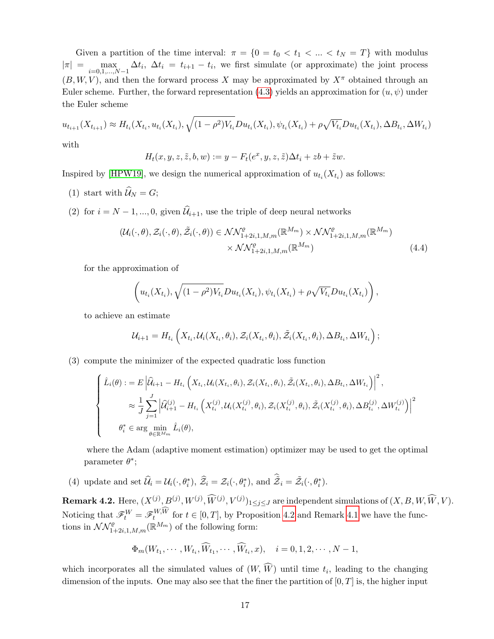Given a partition of the time interval:  $\pi = \{0 = t_0 < t_1 < ... < t_N = T\}$  with modulus  $|\pi| = \max_{i=0,1,\dots,N-1} \Delta t_i$ ,  $\Delta t_i = t_{i+1} - t_i$ , we first simulate (or approximate) the joint process  $(B, W, V)$ , and then the forward process X may be approximated by  $X^{\pi}$  obtained through an Euler scheme. Further, the forward representation [\(4.3\)](#page-15-0) yields an approximation for  $(u, \psi)$  under the Euler scheme

$$
u_{t_{i+1}}(X_{t_{i+1}}) \approx H_{t_i}(X_{t_i}, u_{t_i}(X_{t_i}), \sqrt{(1-\rho^2)V_{t_i}}Du_{t_i}(X_{t_i}), \psi_{t_i}(X_{t_i}) + \rho\sqrt{V_{t_i}}Du_{t_i}(X_{t_i}), \Delta B_{t_i}, \Delta W_{t_i})
$$
  
with

with

$$
H_t(x, y, z, \tilde{z}, b, w) := y - F_t(e^x, y, z, \tilde{z})\Delta t_i + zb + \tilde{z}w.
$$

Inspired by [\[HPW19\]](#page-30-4), we design the numerical approximation of  $u_{t_i}(X_{t_i})$  as follows:

(1) start with  $\widehat{\mathcal{U}}_N = G;$ 

(2) for  $i = N - 1, ..., 0$ , given  $\hat{\mathcal{U}}_{i+1}$ , use the triple of deep neural networks

$$
(\mathcal{U}_i(\cdot,\theta),\mathcal{Z}_i(\cdot,\theta),\tilde{\mathcal{Z}}_i(\cdot,\theta)) \in \mathcal{NN}_{1+2i,1,M,m}^{\varrho}(\mathbb{R}^{M_m}) \times \mathcal{NN}_{1+2i,1,M,m}^{\varrho}(\mathbb{R}^{M_m})
$$
  
 
$$
\times \mathcal{NN}_{1+2i,1,M,m}^{\varrho}(\mathbb{R}^{M_m})
$$
(4.4)

for the approximation of

$$
\left(u_{t_i}(X_{t_i}), \sqrt{(1-\rho^2)V_{t_i}}Du_{t_i}(X_{t_i}), \psi_{t_i}(X_{t_i})+\rho\sqrt{V_{t_i}}Du_{t_i}(X_{t_i})\right),\,
$$

to achieve an estimate

$$
\mathcal{U}_{i+1} = H_{t_i}\left(X_{t_i}, \mathcal{U}_i(X_{t_i}, \theta_i), \mathcal{Z}_i(X_{t_i}, \theta_i), \tilde{\mathcal{Z}}_i(X_{t_i}, \theta_i), \Delta B_{t_i}, \Delta W_{t_i}\right);
$$

(3) compute the minimizer of the expected quadratic loss function

$$
\begin{cases}\n\hat{L}_{i}(\theta) := E \left| \hat{\mathcal{U}}_{i+1} - H_{t_{i}} \left( X_{t_{i}}, \mathcal{U}_{i}(X_{t_{i}}, \theta_{i}), \mathcal{Z}_{i}(X_{t_{i}}, \theta_{i}), \tilde{\mathcal{Z}}_{i}(X_{t_{i}}, \theta_{i}), \Delta B_{t_{i}}, \Delta W_{t_{i}} \right) \right|^{2}, \\
& \approx \frac{1}{J} \sum_{j=1}^{J} \left| \hat{\mathcal{U}}_{i+1}^{(j)} - H_{t_{i}} \left( X_{t_{i}}^{(j)}, \mathcal{U}_{i}(X_{t_{i}}^{(j)}, \theta_{i}), \mathcal{Z}_{i}(X_{t_{i}}^{(j)}, \theta_{i}), \tilde{\mathcal{Z}}_{i}(X_{t_{i}}^{(j)}, \theta_{i}), \Delta B_{t_{i}}^{(j)}, \Delta W_{t_{i}}^{(j)} \right) \right|^{2}, \\
& \theta_{i}^{*} \in \arg \min_{\theta \in \mathbb{R}^{M_{m}}} \hat{L}_{i}(\theta),\n\end{cases}
$$

where the Adam (adaptive moment estimation) optimizer may be used to get the optimal parameter  $\theta^*$ ;

(4) update and set  $\widehat{\mathcal{U}}_i = \mathcal{U}_i(\cdot, \theta_i^*), \, \widehat{\mathcal{Z}}_i = \mathcal{Z}_i(\cdot, \theta_i^*),$  and  $\widetilde{\mathcal{Z}}_i = \widetilde{\mathcal{Z}}_i(\cdot, \theta_i^*).$ 

**Remark 4.2.** Here,  $(X^{(j)}, B^{(j)}, W^{(j)}, \widehat{W}^{(j)}, V^{(j)})_{1 \leq j \leq J}$  are independent simulations of  $(X, B, W, \widehat{W}, V)$ . Noticing that  $\mathscr{F}_t^W = \mathscr{F}_t^{W,W}$  for  $t \in [0,T]$ , by Proposition [4.2](#page-14-1) and Remark [4.1](#page-15-1) we have the functions in  $\mathcal{NN}_{1+2i,1,M,m}^{\rho}(\mathbb{R}^{M_m})$  of the following form:

$$
\Phi_m(W_{t_1},\cdots,W_{t_i},\widehat{W}_{t_1},\cdots,\widehat{W}_{t_i},x), \quad i=0,1,2,\cdots,N-1,
$$

which incorporates all the simulated values of  $(W, W)$  until time  $t_i$ , leading to the changing dimension of the inputs. One may also see that the finer the partition of  $[0, T]$  is, the higher input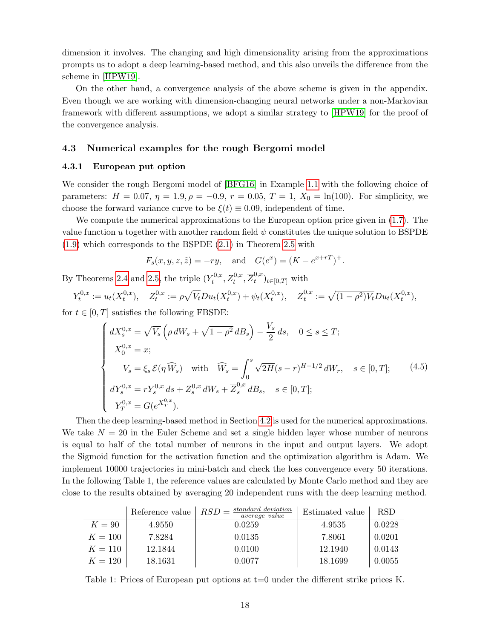dimension it involves. The changing and high dimensionality arising from the approximations prompts us to adopt a deep learning-based method, and this also unveils the difference from the scheme in [\[HPW19\]](#page-30-4).

On the other hand, a convergence analysis of the above scheme is given in the appendix. Even though we are working with dimension-changing neural networks under a non-Markovian framework with different assumptions, we adopt a similar strategy to [\[HPW19\]](#page-30-4) for the proof of the convergence analysis.

#### <span id="page-17-0"></span>4.3 Numerical examples for the rough Bergomi model

#### 4.3.1 European put option

We consider the rough Bergomi model of [\[BFG16\]](#page-29-1) in Example [1.1](#page-1-1) with the following choice of parameters:  $H = 0.07$ ,  $\eta = 1.9$ ,  $\rho = -0.9$ ,  $r = 0.05$ ,  $T = 1$ ,  $X_0 = \ln(100)$ . For simplicity, we choose the forward variance curve to be  $\xi(t) \equiv 0.09$ , independent of time.

We compute the numerical approximations to the European option price given in [\(1.7\)](#page-2-2). The value function u together with another random field  $\psi$  constitutes the unique solution to BSPDE [\(1.9\)](#page-2-0) which corresponds to the BSPDE [\(2.1\)](#page-3-0) in Theorem [2.5](#page-8-3) with

$$
F_s(x, y, z, \tilde{z}) = -ry
$$
, and  $G(e^x) = (K - e^{x+rT})^+$ .

By Theorems [2.4](#page-7-2) and [2.5,](#page-8-3) the triple  $(Y_t^{0,x})$  $\overline{z}_t^{0,x}, \overline{Z}_t^{0,x}, \overline{Z}_t^{0,x}$  $_{t}^{\mathrm{o},\mathrm{L}}$ <sub>t∈[0,T]</sub> with

$$
Y_t^{0,x} := u_t(X_t^{0,x}), \quad Z_t^{0,x} := \rho \sqrt{V_t} Du_t(X_t^{0,x}) + \psi_t(X_t^{0,x}), \quad \overline{Z}_t^{0,x} := \sqrt{(1-\rho^2)V_t} Du_t(X_t^{0,x}),
$$

for  $t \in [0, T]$  satisfies the following FBSDE:

$$
\begin{cases}\ndX_s^{0,x} = \sqrt{V_s} \left( \rho \, dW_s + \sqrt{1 - \rho^2} \, dB_s \right) - \frac{V_s}{2} \, ds, \quad 0 \le s \le T; \\
X_0^{0,x} = x; \\
V_s = \xi_s \, \mathcal{E}(\eta \, \widehat{W}_s) \quad \text{with} \quad \widehat{W}_s = \int_0^s \sqrt{2H} (s - r)^{H - 1/2} \, dW_r, \quad s \in [0, T]; \\
dY_s^{0,x} = rY_s^{0,x} \, ds + Z_s^{0,x} \, dW_s + \overline{Z}_s^{0,x} \, dB_s, \quad s \in [0, T]; \\
Y_T^{0,x} = G(e^{X_T^{0,x}}). \end{cases} \tag{4.5}
$$

Then the deep learning-based method in Section [4.2](#page-15-2) is used for the numerical approximations. We take  $N = 20$  in the Euler Scheme and set a single hidden layer whose number of neurons is equal to half of the total number of neurons in the input and output layers. We adopt the Sigmoid function for the activation function and the optimization algorithm is Adam. We implement 10000 trajectories in mini-batch and check the loss convergence every 50 iterations. In the following Table 1, the reference values are calculated by Monte Carlo method and they are close to the results obtained by averaging 20 independent runs with the deep learning method.

|           | Reference value | standard deviation<br>$RSD =$<br><i>average value</i> | Estimated value | <b>RSD</b> |
|-----------|-----------------|-------------------------------------------------------|-----------------|------------|
| $K=90$    | 4.9550          | 0.0259                                                | 4.9535          | 0.0228     |
| $K = 100$ | 7.8284          | 0.0135                                                | 7.8061          | 0.0201     |
| $K = 110$ | 12.1844         | 0.0100                                                | 12.1940         | 0.0143     |
| $K = 120$ | 18.1631         | 0.0077                                                | 18.1699         | 0.0055     |

Table 1: Prices of European put options at t=0 under the different strike prices K.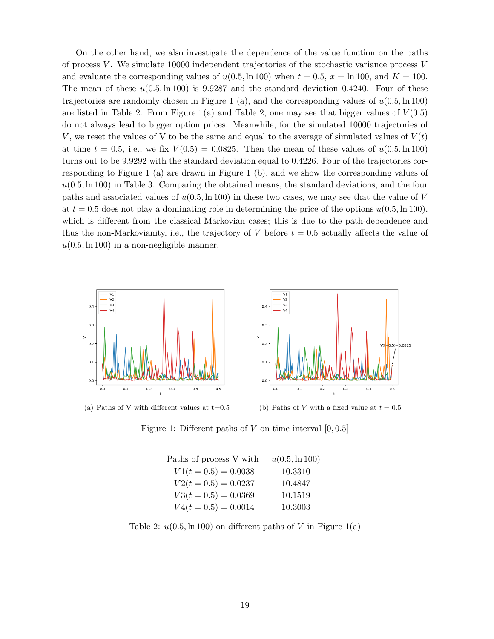On the other hand, we also investigate the dependence of the value function on the paths of process V. We simulate 10000 independent trajectories of the stochastic variance process  $V$ and evaluate the corresponding values of  $u(0.5, \ln 100)$  when  $t = 0.5$ ,  $x = \ln 100$ , and  $K = 100$ . The mean of these  $u(0.5, \ln 100)$  is 9.9287 and the standard deviation 0.4240. Four of these trajectories are randomly chosen in Figure 1 (a), and the corresponding values of  $u(0.5, \ln 100)$ are listed in Table 2. From Figure 1(a) and Table 2, one may see that bigger values of  $V(0.5)$ do not always lead to bigger option prices. Meanwhile, for the simulated 10000 trajectories of V, we reset the values of V to be the same and equal to the average of simulated values of  $V(t)$ at time  $t = 0.5$ , i.e., we fix  $V(0.5) = 0.0825$ . Then the mean of these values of  $u(0.5, \ln 100)$ turns out to be 9.9292 with the standard deviation equal to 0.4226. Four of the trajectories corresponding to Figure 1 (a) are drawn in Figure 1 (b), and we show the corresponding values of  $u(0.5, \ln 100)$  in Table 3. Comparing the obtained means, the standard deviations, and the four paths and associated values of  $u(0.5, \ln 100)$  in these two cases, we may see that the value of V at  $t = 0.5$  does not play a dominating role in determining the price of the options  $u(0.5, \ln 100)$ , which is different from the classical Markovian cases; this is due to the path-dependence and thus the non-Markovianity, i.e., the trajectory of V before  $t = 0.5$  actually affects the value of  $u(0.5, \ln 100)$  in a non-negligible manner.



(a) Paths of V with different values at t=0.5 (b) Paths of V with a fixed value at  $t = 0.5$ 

Figure 1: Different paths of V on time interval  $[0, 0.5]$ 

| Paths of process V with | $u(0.5, \ln 100)$ |
|-------------------------|-------------------|
| $V1(t = 0.5) = 0.0038$  | 10.3310           |
| $V2(t = 0.5) = 0.0237$  | 10.4847           |
| $V3(t = 0.5) = 0.0369$  | 10.1519           |
| $V4(t = 0.5) = 0.0014$  | 10.3003           |

Table 2:  $u(0.5, \ln 100)$  on different paths of V in Figure 1(a)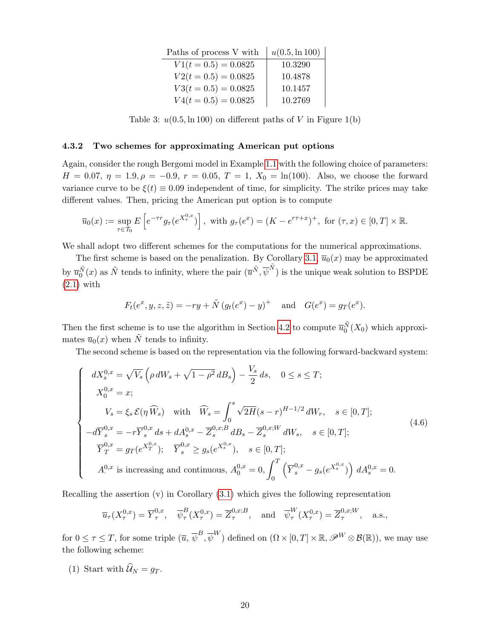| Paths of process V with | $u(0.5, \ln 100)$ |
|-------------------------|-------------------|
| $V1(t = 0.5) = 0.0825$  | 10.3290           |
| $V2(t = 0.5) = 0.0825$  | 10.4878           |
| $V3(t = 0.5) = 0.0825$  | 10.1457           |
| $V4(t = 0.5) = 0.0825$  | 10.2769           |

Table 3:  $u(0.5, \ln 100)$  on different paths of V in Figure 1(b)

#### 4.3.2 Two schemes for approximating American put options

Again, consider the rough Bergomi model in Example [1.1](#page-1-1) with the following choice of parameters:  $H = 0.07, \eta = 1.9, \rho = -0.9, r = 0.05, T = 1, X_0 = \ln(100)$ . Also, we choose the forward variance curve to be  $\xi(t) \equiv 0.09$  independent of time, for simplicity. The strike prices may take different values. Then, pricing the American put option is to compute

$$
\overline{u}_0(x) := \sup_{\tau \in \mathcal{T}_0} E\left[e^{-\tau r} g_\tau(e^{X_\tau^{0,x}})\right],
$$
 with  $g_\tau(e^x) = (K - e^{r\tau + x})^+$ , for  $(\tau, x) \in [0, T] \times \mathbb{R}$ .

We shall adopt two different schemes for the computations for the numerical approximations.

The first scheme is based on the penalization. By Corollary [3.1,](#page-12-3)  $\overline{u}_0(x)$  may be approximated by  $\overline{u}_0^{\tilde{N}}(x)$  as  $\tilde{N}$  tends to infinity, where the pair  $(\overline{u}^{\tilde{N}}, \overline{\psi}^{\tilde{N}})$  is the unique weak solution to BSPDE [\(2.1\)](#page-3-0) with

$$
F_t(e^x, y, z, \tilde{z}) = -ry + \tilde{N}(g_t(e^x) - y)^+
$$
 and  $G(e^x) = g_T(e^x)$ .

Then the first scheme is to use the algorithm in Section [4.2](#page-15-2) to compute  $\overline{u}_0^{\tilde{N}}(X_0)$  which approximates  $\overline{u}_0(x)$  when  $\tilde{N}$  tends to infinity.

The second scheme is based on the representation via the following forward-backward system:

$$
\begin{cases}\n dX_{s}^{0,x} = \sqrt{V_{s}} \left( \rho \, dW_{s} + \sqrt{1 - \rho^{2}} \, dB_{s} \right) - \frac{V_{s}}{2} \, ds, \quad 0 \leq s \leq T; \\
 X_{0}^{0,x} = x; \\
 V_{s} = \xi_{s} \, \mathcal{E}(\eta \, \widehat{W}_{s}) \quad \text{with} \quad \widehat{W}_{s} = \int_{0}^{s} \sqrt{2H} (s - r)^{H - 1/2} \, dW_{r}, \quad s \in [0, T]; \\
 -d\overline{Y}_{s}^{0,x} = -r \overline{Y}_{s}^{0,x} \, ds + dA_{s}^{0,x} - \overline{Z}_{s}^{0,x;B} \, dB_{s} - \overline{Z}_{s}^{0,x;W} \, dW_{s}, \quad s \in [0, T]; \\
 \overline{Y}_{T}^{0,x} = g_{T}(e^{X_{T}^{0,x}}); \quad \overline{Y}_{s}^{0,x} \geq g_{s}(e^{X_{s}^{0,x}}), \quad s \in [0, T]; \\
 A^{0,x} \text{ is increasing and continuous}, A_{0}^{0,x} = 0, \int_{0}^{T} \left( \overline{Y}_{s}^{0,x} - g_{s}(e^{X_{s}^{0,x}}) \right) \, dA_{s}^{0,x} = 0.\n\end{cases} \tag{4.6}
$$

Recalling the assertion (v) in Corollary [\(3.1\)](#page-12-3) which gives the following representation

$$
\overline{u}_{\tau}(X_{\tau}^{0,x}) = \overline{Y}_{\tau}^{0,x}, \quad \overline{\psi}_{\tau}^{B}(X_{\tau}^{0,x}) = \overline{Z}_{\tau}^{0,x;B}, \quad \text{and} \quad \overline{\psi}_{\tau}^{W}(X_{\tau}^{0,x}) = \overline{Z}_{\tau}^{0,x;W}, \quad \text{a.s.},
$$

for  $0 \leq \tau \leq T$ , for some triple  $(\overline{u}, \overline{\psi}^B, \overline{\psi}^W)$  defined on  $(\Omega \times [0, T] \times \mathbb{R}, \mathscr{P}^W \otimes \mathcal{B}(\mathbb{R}))$ , we may use the following scheme:

(1) Start with  $\widehat{\mathcal{U}}_N = g_T$ .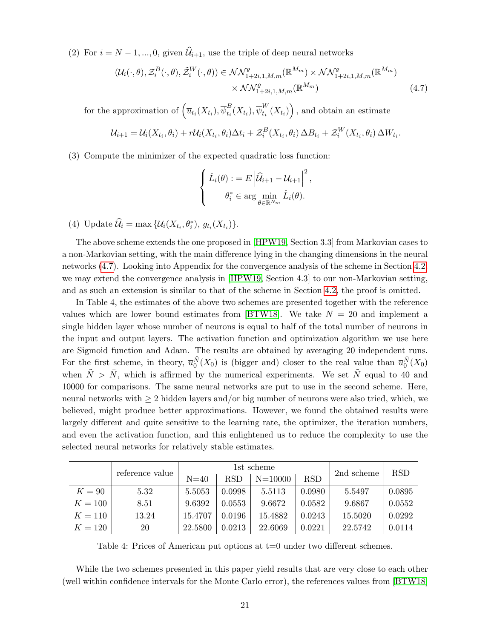(2) For  $i = N - 1, ..., 0$ , given  $\widehat{\mathcal{U}}_{i+1}$ , use the triple of deep neural networks

$$
(\mathcal{U}_i(\cdot,\theta),\mathcal{Z}_i^B(\cdot,\theta),\tilde{\mathcal{Z}}_i^W(\cdot,\theta)) \in \mathcal{NN}_{1+2i,1,M,m}^{\varrho}(\mathbb{R}^{M_m}) \times \mathcal{NN}_{1+2i,1,M,m}^{\varrho}(\mathbb{R}^{M_m}) \times \mathcal{NN}_{1+2i,1,M,m}^{\varrho}(\mathbb{R}^{M_m})
$$
\n
$$
\times \mathcal{NN}_{1+2i,1,M,m}^{\varrho}(\mathbb{R}^{M_m})
$$
\n
$$
(4.7)
$$

for the approximation of  $\left(\overline{u}_{t_i}(X_{t_i}), \overline{\psi}_{t_i}^B\right)$  $_{t_{i}}^{B}(X_{t_{i}}),\overline{\psi }_{t_{i}}^{W}$  $_{t_{i}}^{W}(X_{t_{i}})\Big)$ , and obtain an estimate

$$
\mathcal{U}_{i+1} = \mathcal{U}_i(X_{t_i}, \theta_i) + r\mathcal{U}_i(X_{t_i}, \theta_i)\Delta t_i + \mathcal{Z}_i^B(X_{t_i}, \theta_i)\Delta B_{t_i} + \mathcal{Z}_i^W(X_{t_i}, \theta_i)\Delta W_{t_i}.
$$

(3) Compute the minimizer of the expected quadratic loss function:

<span id="page-20-0"></span>
$$
\begin{cases} \hat{L}_i(\theta) : = E \left| \hat{\mathcal{U}}_{i+1} - \mathcal{U}_{i+1} \right|^2, \\ \theta_i^* \in \arg \min_{\theta \in \mathbb{R}^{N_m}} \hat{L}_i(\theta). \end{cases}
$$

(4) Update  $\widehat{\mathcal{U}}_i = \max \{ \mathcal{U}_i(X_{t_i}, \theta_i^*), g_{t_i}(X_{t_i}) \}.$ 

The above scheme extends the one proposed in [\[HPW19,](#page-30-4) Section 3.3] from Markovian cases to a non-Markovian setting, with the main difference lying in the changing dimensions in the neural networks [\(4.7\)](#page-20-0). Looking into Appendix for the convergence analysis of the scheme in Section [4.2,](#page-15-2) we may extend the convergence analysis in [\[HPW19,](#page-30-4) Section 4.3] to our non-Markovian setting, and as such an extension is similar to that of the scheme in Section [4.2,](#page-15-2) the proof is omitted.

In Table 4, the estimates of the above two schemes are presented together with the reference values which are lower bound estimates from [\[BTW18\]](#page-29-15). We take  $N = 20$  and implement a single hidden layer whose number of neurons is equal to half of the total number of neurons in the input and output layers. The activation function and optimization algorithm we use here are Sigmoid function and Adam. The results are obtained by averaging 20 independent runs. For the first scheme, in theory,  $\overline{u}_0^{\tilde{N}}(X_0)$  is (bigger and) closer to the real value than  $\overline{u}_0^{\tilde{N}}(X_0)$ when  $\tilde{N} > \bar{N}$ , which is affirmed by the numerical experiments. We set  $\tilde{N}$  equal to 40 and 10000 for comparisons. The same neural networks are put to use in the second scheme. Here, neural networks with  $\geq 2$  hidden layers and/or big number of neurons were also tried, which, we believed, might produce better approximations. However, we found the obtained results were largely different and quite sensitive to the learning rate, the optimizer, the iteration numbers, and even the activation function, and this enlightened us to reduce the complexity to use the selected neural networks for relatively stable estimates.

|           |                 | 1st scheme |        |             |            | 2nd scheme | <b>RSD</b> |
|-----------|-----------------|------------|--------|-------------|------------|------------|------------|
|           | reference value | $N=40$     | RSD    | $N = 10000$ | <b>RSD</b> |            |            |
| $K=90$    | 5.32            | 5.5053     | 0.0998 | 5.5113      | 0.0980     | 5.5497     | 0.0895     |
| $K=100$   | 8.51            | 9.6392     | 0.0553 | 9.6672      | 0.0582     | 9.6867     | 0.0552     |
| $K = 110$ | 13.24           | 15.4707    | 0.0196 | 15.4882     | 0.0243     | 15.5020    | 0.0292     |
| $K = 120$ | 20              | 22.5800    | 0.0213 | 22.6069     | 0.0221     | 22.5742    | 0.0114     |

Table 4: Prices of American put options at  $t=0$  under two different schemes.

While the two schemes presented in this paper yield results that are very close to each other (well within confidence intervals for the Monte Carlo error), the references values from [\[BTW18\]](#page-29-15)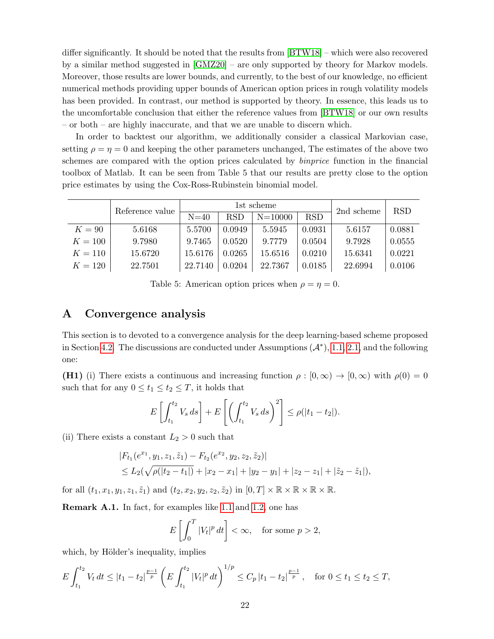differ significantly. It should be noted that the results from [\[BTW18\]](#page-29-15) – which were also recovered by a similar method suggested in [\[GMZ20\]](#page-30-15) – are only supported by theory for Markov models. Moreover, those results are lower bounds, and currently, to the best of our knowledge, no efficient numerical methods providing upper bounds of American option prices in rough volatility models has been provided. In contrast, our method is supported by theory. In essence, this leads us to the uncomfortable conclusion that either the reference values from [\[BTW18\]](#page-29-15) or our own results – or both – are highly inaccurate, and that we are unable to discern which.

In order to backtest our algorithm, we additionally consider a classical Markovian case, setting  $\rho = \eta = 0$  and keeping the other parameters unchanged, The estimates of the above two schemes are compared with the option prices calculated by binprice function in the financial toolbox of Matlab. It can be seen from Table 5 that our results are pretty close to the option price estimates by using the Cox-Ross-Rubinstein binomial model.

|           | Reference value | 1st scheme |            |             |            | 2nd scheme | <b>RSD</b> |
|-----------|-----------------|------------|------------|-------------|------------|------------|------------|
|           |                 | $N=40$     | <b>RSD</b> | $N = 10000$ | <b>RSD</b> |            |            |
| $K=90$    | 5.6168          | 5.5700     | 0.0949     | 5.5945      | 0.0931     | 5.6157     | 0.0881     |
| $K = 100$ | 9.7980          | 9.7465     | 0.0520     | 9.7779      | 0.0504     | 9.7928     | 0.0555     |
| $K = 110$ | 15.6720         | 15.6176    | 0.0265     | 15.6516     | 0.0210     | 15.6341    | 0.0221     |
| $K = 120$ | 22.7501         | 22.7140    | 0.0204     | 22.7367     | 0.0185     | 22.6994    | 0.0106     |

Table 5: American option prices when  $\rho = \eta = 0$ .

## A Convergence analysis

This section is to devoted to a convergence analysis for the deep learning-based scheme proposed in Section [4.2.](#page-15-2) The discussions are conducted under Assumptions  $(A^*)$ , [1.1,](#page-1-0) [2.1,](#page-0-1) and the following one:

(H1) (i) There exists a continuous and increasing function  $\rho : [0, \infty) \to [0, \infty)$  with  $\rho(0) = 0$ such that for any  $0 \le t_1 \le t_2 \le T$ , it holds that

$$
E\left[\int_{t_1}^{t_2} V_s ds\right] + E\left[\left(\int_{t_1}^{t_2} V_s ds\right)^2\right] \le \rho(|t_1 - t_2|).
$$

(ii) There exists a constant  $L_2 > 0$  such that

$$
|F_{t_1}(e^{x_1}, y_1, z_1, \tilde{z}_1) - F_{t_2}(e^{x_2}, y_2, z_2, \tilde{z}_2)|
$$
  
\n
$$
\leq L_2(\sqrt{\rho(|t_2 - t_1|)} + |x_2 - x_1| + |y_2 - y_1| + |z_2 - z_1| + |\tilde{z}_2 - \tilde{z}_1|),
$$

for all  $(t_1, x_1, y_1, z_1, \tilde{z}_1)$  and  $(t_2, x_2, y_2, z_2, \tilde{z}_2)$  in  $[0, T] \times \mathbb{R} \times \mathbb{R} \times \mathbb{R} \times \mathbb{R}$ .

Remark A.1. In fact, for examples like [1.1](#page-1-1) and [1.2,](#page-1-2) one has

$$
E\left[\int_0^T |V_t|^p dt\right] < \infty, \quad \text{for some } p > 2,
$$

which, by Hölder's inequality, implies

$$
E\int_{t_1}^{t_2} V_t dt \le |t_1 - t_2|^{\frac{p-1}{p}} \left( E\int_{t_1}^{t_2} |V_t|^p dt \right)^{1/p} \le C_p |t_1 - t_2|^{\frac{p-1}{p}}, \quad \text{for } 0 \le t_1 \le t_2 \le T,
$$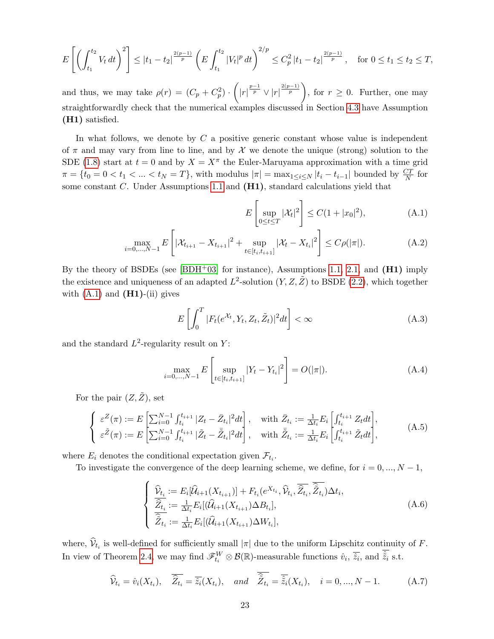$$
E\left[\left(\int_{t_1}^{t_2} V_t dt\right)^2\right] \leq |t_1 - t_2|^{\frac{2(p-1)}{p}} \left(E\int_{t_1}^{t_2} |V_t|^p dt\right)^{2/p} \leq C_p^2 |t_1 - t_2|^{\frac{2(p-1)}{p}}, \quad \text{for } 0 \leq t_1 \leq t_2 \leq T,
$$

and thus, we may take  $\rho(r) = (C_p + C_p^2) \cdot \left( |r|^{\frac{p-1}{p}} \vee |r|^{\frac{2(p-1)}{p}} \right)$ , for  $r \ge 0$ . Further, one may straightforwardly check that the numerical examples discussed in Section [4.3](#page-17-0) have Assumption (H1) satisfied.

In what follows, we denote by  $C$  a positive generic constant whose value is independent of  $\pi$  and may vary from line to line, and by X we denote the unique (strong) solution to the SDE [\(1.8\)](#page-2-1) start at  $t = 0$  and by  $X = X^{\pi}$  the Euler-Maruyama approximation with a time grid  $\pi = \{t_0 = 0 < t_1 < \ldots < t_N = T\}$ , with modulus  $|\pi| = \max_{1 \le i \le N} |t_i - t_{i-1}|$  bounded by  $\frac{CT}{N}$  for some constant  $C$ . Under Assumptions [1.1](#page-1-0) and  $(H1)$ , standard calculations yield that

<span id="page-22-2"></span><span id="page-22-0"></span>
$$
E\left[\sup_{0 \le t \le T} |\mathcal{X}_t|^2\right] \le C(1 + |x_0|^2),\tag{A.1}
$$

$$
\max_{i=0,\dots,N-1} E\left[|\mathcal{X}_{t_{i+1}} - X_{t_{i+1}}|^2 + \sup_{t \in [t_i,t_{i+1}]} |\mathcal{X}_t - X_{t_i}|^2\right] \le C\rho(|\pi|). \tag{A.2}
$$

By the theory of BSDEs (see  $[BDH^+03]$  for instance), Assumptions [1.1,](#page-1-0) [2.1,](#page-0-1) and  $(H1)$  imply the existence and uniqueness of an adapted  $L^2$ -solution  $(Y, Z, \tilde{Z})$  to BSDE [\(2.2\)](#page-4-0), which together with  $(A.1)$  and  $(H1)-(ii)$  gives

<span id="page-22-4"></span>
$$
E\left[\int_0^T |F_t(e^{\mathcal{X}_t}, Y_t, Z_t, \tilde{Z}_t)|^2 dt\right] < \infty \tag{A.3}
$$

and the standard  $L^2$ -regularity result on Y:

<span id="page-22-3"></span>
$$
\max_{i=0,\dots,N-1} E\left[\sup_{t \in [t_i,t_{i+1}]} |Y_t - Y_{t_i}|^2\right] = O(|\pi|). \tag{A.4}
$$

For the pair  $(Z, \tilde{Z})$ , set

$$
\begin{cases}\n\varepsilon^{Z}(\pi) := E\left[\sum_{i=0}^{N-1} \int_{t_{i}}^{t_{i+1}} |Z_{t} - \bar{Z}_{t_{i}}|^{2} dt\right], & \text{with } \bar{Z}_{t_{i}} := \frac{1}{\Delta t_{i}} E_{i} \left[\int_{t_{i}}^{t_{i+1}} Z_{t} dt\right], \\
\varepsilon^{Z}(\pi) := E\left[\sum_{i=0}^{N-1} \int_{t_{i}}^{t_{i+1}} |\tilde{Z}_{t} - \bar{Z}_{t_{i}}|^{2} dt\right], & \text{with } \bar{Z}_{t_{i}} := \frac{1}{\Delta t_{i}} E_{i} \left[\int_{t_{i}}^{t_{i+1}} \tilde{Z}_{t} dt\right],\n\end{cases} (A.5)
$$

where  $E_i$  denotes the conditional expectation given  $\mathcal{F}_{t_i}$ .

To investigate the convergence of the deep learning scheme, we define, for  $i = 0, ..., N - 1$ ,

<span id="page-22-1"></span>
$$
\begin{cases}\n\widehat{\mathcal{V}}_{t_i} := E_i[\widehat{\mathcal{U}}_{i+1}(X_{t_{i+1}})] + F_{t_i}(e^{X_{t_i}}, \widehat{\mathcal{V}}_{t_i}, \overline{\widehat{Z}_{t_i}}, \overline{\widehat{Z}_{t_i}}) \Delta t_i, \\
\widehat{\overline{Z}_{t_i}} := \frac{1}{\Delta t_i} E_i[(\widehat{\mathcal{U}}_{i+1}(X_{t_{i+1}}) \Delta B_{t_i}], \\
\widehat{\overline{Z}}_{t_i} := \frac{1}{\Delta t_i} E_i[(\widehat{\mathcal{U}}_{i+1}(X_{t_{i+1}}) \Delta W_{t_i}],\n\end{cases} (A.6)
$$

where,  $\mathcal{V}_{t_i}$  is well-defined for sufficiently small  $|\pi|$  due to the uniform Lipschitz continuity of F. In view of Theorem [2.4,](#page-7-2) we may find  $\mathscr{F}_{t_i}^W \otimes \mathcal{B}(\mathbb{R})$ -measurable functions  $\hat{v}_i$ ,  $\overline{\hat{z}_i}$ , and  $\hat{\tilde{z}}_i$  s.t.

<span id="page-22-5"></span>
$$
\widehat{\mathcal{V}}_{t_i} = \widehat{v}_i(X_{t_i}), \quad \overline{\widehat{Z}_{t_i}} = \overline{\widehat{z}_i}(X_{t_i}), \quad and \quad \overline{\widehat{Z}_{t_i}} = \overline{\widehat{z}_i}(X_{t_i}), \quad i = 0, ..., N - 1.
$$
\n(A.7)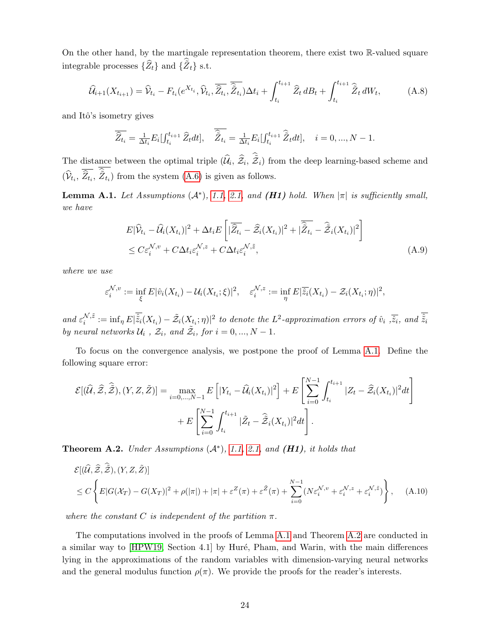On the other hand, by the martingale representation theorem, there exist two R-valued square integrable processes  $\{\widehat{Z}_t\}$  and  $\{\widetilde{Z}_t\}$  s.t.

<span id="page-23-4"></span>
$$
\widehat{\mathcal{U}}_{i+1}(X_{t_{i+1}}) = \widehat{\mathcal{V}}_{t_i} - F_{t_i}(e^{X_{t_i}}, \widehat{\mathcal{V}}_{t_i}, \overline{\widehat{Z}_{t_i}}) \Delta t_i + \int_{t_i}^{t_{i+1}} \widehat{Z}_t dB_t + \int_{t_i}^{t_{i+1}} \widehat{\widetilde{Z}}_t dW_t, \tag{A.8}
$$

and Itô's isometry gives

$$
\overline{\widehat{Z}_{t_i}} = \frac{1}{\Delta t_i} E_i[f_{t_i}^{t_{i+1}} \widehat{Z}_t dt], \quad \overline{\widehat{Z}_{t_i}} = \frac{1}{\Delta t_i} E_i[f_{t_i}^{t_{i+1}} \widehat{Z}_t dt], \quad i = 0, ..., N - 1.
$$

The distance between the optimal triple  $(\hat{\mathcal{U}}_i, \hat{\mathcal{Z}}_i, \tilde{\mathcal{Z}}_i)$  from the deep learning-based scheme and  $(\hat{\mathcal{V}}_{t_i}, \hat{Z}_{t_i}, \tilde{Z}_{t_i})$  from the system  $(A.6)$  is given as follows.

<span id="page-23-0"></span>**Lemma A.1.** Let Assumptions  $(A^*)$ , [1.1,](#page-1-0) [2.1,](#page-0-1) and **(H1)** hold. When  $|\pi|$  is sufficiently small, we have

<span id="page-23-3"></span>
$$
E|\widehat{\mathcal{V}}_{t_i} - \widehat{\mathcal{U}}_i(X_{t_i})|^2 + \Delta t_i E\left[|\overline{\widehat{Z}_{t_i}} - \widehat{\mathcal{Z}}_i(X_{t_i})|^2 + |\overline{\widehat{Z}_{t_i}} - \widehat{\widetilde{\mathcal{Z}}}_i(X_{t_i})|^2\right] \leq C \varepsilon_i^{\mathcal{N},v} + C \Delta t_i \varepsilon_i^{\mathcal{N},z} + C \Delta t_i \varepsilon_i^{\mathcal{N},\tilde{z}},
$$
\n(A.9)

where we use

$$
\varepsilon_i^{\mathcal{N},v} := \inf_{\xi} E|\hat{v}_i(X_{t_i}) - \mathcal{U}_i(X_{t_i};\xi)|^2, \quad \varepsilon_i^{\mathcal{N},z} := \inf_{\eta} E|\overline{\hat{z}_i}(X_{t_i}) - \mathcal{Z}_i(X_{t_i};\eta)|^2,
$$

and  $\varepsilon_i^{\mathcal{N},\tilde{z}}$  $\hat{z}^{N,\tilde{z}}_i:=\inf_{\eta}E|\hat{\tilde{z}}_i(X_{t_i})-\tilde{\mathcal{Z}}_i(X_{t_i};\eta)|^2$  to denote the  $L^2$ -approximation errors of  $\hat{v}_i$  ,  $\overline{\hat{z}_i}$ , and  $\hat{\tilde{z}}_i$ by neural networks  $\mathcal{U}_i$ ,  $\mathcal{Z}_i$ , and  $\tilde{\mathcal{Z}}_i$ , for  $i = 0, ..., N - 1$ .

To focus on the convergence analysis, we postpone the proof of Lemma [A.1.](#page-23-0) Define the following square error:

$$
\mathcal{E}[(\widehat{\mathcal{U}},\widehat{\mathcal{Z}},\widehat{\tilde{\mathcal{Z}}}), (Y,Z,\tilde{Z})] = \max_{i=0,\ldots,N-1} E\left[|Y_{t_i} - \widehat{\mathcal{U}}_i(X_{t_i})|^2\right] + E\left[\sum_{i=0}^{N-1} \int_{t_i}^{t_{i+1}} |Z_t - \widehat{\mathcal{Z}}_i(X_{t_i})|^2 dt\right] + E\left[\sum_{i=0}^{N-1} \int_{t_i}^{t_{i+1}} |\widetilde{Z}_t - \widehat{\tilde{\mathcal{Z}}}_i(X_{t_i})|^2 dt\right].
$$

<span id="page-23-1"></span>**Theorem A.2.** Under Assumptions  $(A^*)$ , [1.1,](#page-1-0) [2.1,](#page-0-1) and  $(H1)$ , it holds that

<span id="page-23-2"></span>
$$
\mathcal{E}[(\hat{U}, \hat{\mathcal{Z}}, \hat{\tilde{\mathcal{Z}}}), (Y, Z, \tilde{Z})]
$$
  
\n
$$
\leq C \left\{ E|G(\mathcal{X}_T) - G(X_T)|^2 + \rho(|\pi|) + |\pi| + \varepsilon^Z(\pi) + \varepsilon^{\tilde{Z}}(\pi) + \sum_{i=0}^{N-1} (N\varepsilon_i^{\mathcal{N}, v} + \varepsilon_i^{\mathcal{N}, z} + \varepsilon_i^{\mathcal{N}, \tilde{z}}) \right\},
$$
 (A.10)

where the constant C is independent of the partition  $\pi$ .

The computations involved in the proofs of Lemma [A.1](#page-23-0) and Theorem [A.2](#page-23-1) are conducted in a similar way to [\[HPW19,](#page-30-4) Section 4.1] by Huré, Pham, and Warin, with the main differences lying in the approximations of the random variables with dimension-varying neural networks and the general modulus function  $\rho(\pi)$ . We provide the proofs for the reader's interests.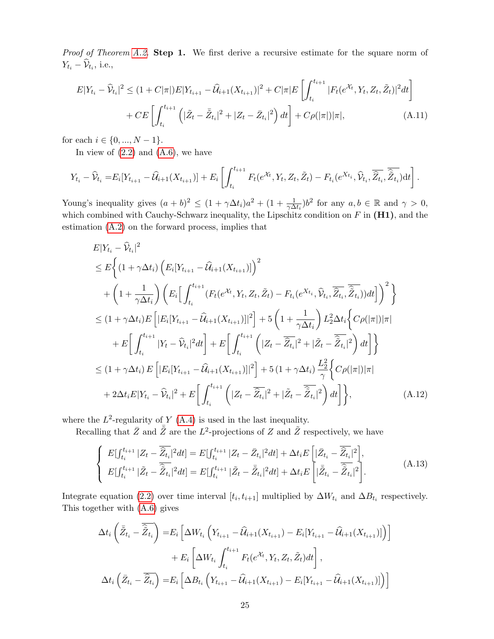Proof of Theorem [A.2.](#page-23-1) Step 1. We first derive a recursive estimate for the square norm of  $Y_{t_i} - \mathcal{V}_{t_i}$ , i.e.,

<span id="page-24-2"></span>
$$
E|Y_{t_i} - \widehat{\mathcal{V}}_{t_i}|^2 \le (1 + C|\pi|)E|Y_{t_{i+1}} - \widehat{\mathcal{U}}_{t+1}(X_{t_{i+1}})|^2 + C|\pi|E\left[\int_{t_i}^{t_{i+1}} |F_t(e^{\mathcal{X}_t}, Y_t, Z_t, \tilde{Z}_t)|^2 dt\right] + CE\left[\int_{t_i}^{t_{i+1}} \left(|\tilde{Z}_t - \bar{\tilde{Z}}_{t_i}|^2 + |Z_t - \bar{Z}_{t_i}|^2\right) dt\right] + C\rho(|\pi|)|\pi|,
$$
\n(A.11)

for each  $i \in \{0, ..., N-1\}.$ 

In view of  $(2.2)$  and  $(A.6)$ , we have

$$
Y_{t_i} - \widehat{\mathcal{V}}_{t_i} = E_i[Y_{t_{i+1}} - \widehat{\mathcal{U}}_{i+1}(X_{t_{i+1}})] + E_i\left[\int_{t_i}^{t_{i+1}} F_t(e^{\mathcal{X}_t}, Y_t, Z_t, \tilde{Z}_t) - F_{t_i}(e^{X_{t_i}}, \widehat{\mathcal{V}}_{t_i}, \overline{\widehat{Z}_{t_i}}, \overline{\widehat{Z}_{t_i}})dt\right].
$$

Young's inequality gives  $(a + b)^2 \le (1 + \gamma \Delta t_i)a^2 + (1 + \frac{1}{\gamma \Delta t_i})b^2$  for any  $a, b \in \mathbb{R}$  and  $\gamma > 0$ , which combined with Cauchy-Schwarz inequality, the Lipschitz condition on  $F$  in  $(H1)$ , and the estimation [\(A.2\)](#page-22-2) on the forward process, implies that

$$
E|Y_{t_i} - \hat{V}_{t_i}|^2
$$
  
\n
$$
\leq E\Big\{ (1 + \gamma \Delta t_i) \left( E_i[Y_{t_{i+1}} - \hat{U}_{i+1}(X_{t_{i+1}})] \right)^2
$$
  
\n
$$
+ \left( 1 + \frac{1}{\gamma \Delta t_i} \right) \left( E_i \Big[ \int_{t_i}^{t_{i+1}} (F_t(e^{X_t}, Y_t, Z_t, \tilde{Z}_t) - F_{t_i}(e^{X_{t_i}}, \hat{V}_{t_i}, \overline{\hat{Z}_{t_i}}, \overline{\hat{Z}_{t_i}})) dt \Big] \Big)^2 \Big\}
$$
  
\n
$$
\leq (1 + \gamma \Delta t_i) E \Big[ |E_i[Y_{t_{i+1}} - \hat{U}_{i+1}(X_{t_{i+1}})]|^2 \Big] + 5 \left( 1 + \frac{1}{\gamma \Delta t_i} \right) L_2^2 \Delta t_i \Big\{ C\rho(|\pi|) |\pi|
$$
  
\n
$$
+ E \Big[ \int_{t_i}^{t_{i+1}} |Y_t - \hat{V}_{t_i}|^2 dt \Big] + E \Big[ \int_{t_i}^{t_{i+1}} \Big( |Z_t - \overline{\hat{Z}_{t_i}}|^2 + |\tilde{Z}_t - \overline{\hat{Z}_{t_i}}|^2 \Big) dt \Big] \Big\}
$$
  
\n
$$
\leq (1 + \gamma \Delta t_i) E \Big[ |E_i[Y_{t_{i+1}} - \hat{U}_{i+1}(X_{t_{i+1}})]|^2 \Big] + 5 (1 + \gamma \Delta t_i) \frac{L_2^2}{\gamma} \Big\{ C\rho(|\pi|) |\pi|
$$
  
\n
$$
+ 2\Delta t_i E|Y_{t_i} - \hat{V}_{t_i}|^2 + E \Big[ \int_{t_i}^{t_{i+1}} \Big( |Z_t - \overline{\hat{Z}_{t_i}}|^2 + |\tilde{Z}_t - \overline{\hat{Z}_{t_i}}|^2 \Big) dt \Big] \Big\}, \tag{A.12}
$$

where the  $L^2$ -regularity of Y [\(A.4\)](#page-22-3) is used in the last inequality.

Recalling that  $\overline{Z}$  and  $\overline{\overline{Z}}$  are the  $L^2$ -projections of Z and  $\overline{Z}$  respectively, we have

<span id="page-24-1"></span><span id="page-24-0"></span>
$$
\begin{cases}\nE[\int_{t_i}^{t_{i+1}} |Z_t - \overline{\hat{Z}_{t_i}}|^2 dt] = E[\int_{t_i}^{t_{i+1}} |Z_t - \bar{Z}_{t_i}|^2 dt] + \Delta t_i E\left[|\bar{Z}_{t_i} - \overline{\hat{Z}_{t_i}}|^2\right], \\
E[\int_{t_i}^{t_{i+1}} |\tilde{Z}_t - \overline{\hat{Z}_{t_i}}|^2 dt] = E[\int_{t_i}^{t_{i+1}} |\tilde{Z}_t - \overline{\hat{Z}_{t_i}}|^2 dt] + \Delta t_i E\left[|\overline{\tilde{Z}}_{t_i} - \overline{\hat{Z}_{t_i}}|^2\right].\n\end{cases} (A.13)
$$

Integrate equation [\(2.2\)](#page-4-0) over time interval  $[t_i, t_{i+1}]$  multiplied by  $\Delta W_{t_i}$  and  $\Delta B_{t_i}$  respectively. This together with [\(A.6\)](#page-22-1) gives

$$
\Delta t_i \left( \bar{\tilde{Z}}_{t_i} - \bar{\tilde{Z}}_{t_i} \right) = E_i \left[ \Delta W_{t_i} \left( Y_{t_{i+1}} - \hat{U}_{t+1} (X_{t_{i+1}}) - E_i [Y_{t_{i+1}} - \hat{U}_{t+1} (X_{t_{i+1}})] \right) \right] + E_i \left[ \Delta W_{t_i} \int_{t_i}^{t_{i+1}} F_t (e^{X_t}, Y_t, Z_t, \tilde{Z}_t) dt \right],
$$
  

$$
\Delta t_i \left( \bar{Z}_{t_i} - \bar{\hat{Z}}_{t_i} \right) = E_i \left[ \Delta B_{t_i} \left( Y_{t_{i+1}} - \hat{U}_{t+1} (X_{t_{i+1}}) - E_i [Y_{t_{i+1}} - \hat{U}_{t+1} (X_{t_{i+1}})] \right) \right]
$$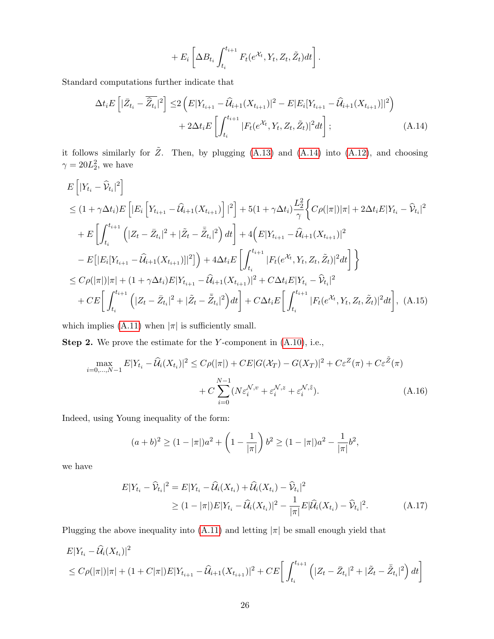<span id="page-25-0"></span>
$$
+ E_i \left[ \Delta B_{t_i} \int_{t_i}^{t_{i+1}} F_t(e^{\mathcal{X}_t}, Y_t, Z_t, \tilde{Z}_t) dt \right].
$$

Standard computations further indicate that

$$
\Delta t_i E\left[|\bar{Z}_{t_i} - \overline{\hat{Z}_{t_i}}|^2\right] \le 2\left(E|Y_{t_{i+1}} - \widehat{\mathcal{U}}_{i+1}(X_{t_{i+1}})|^2 - E|E_i[Y_{t_{i+1}} - \widehat{\mathcal{U}}_{i+1}(X_{t_{i+1}})]|^2\right) + 2\Delta t_i E\left[\int_{t_i}^{t_{i+1}} |F_t(e^{\mathcal{X}_t}, Y_t, Z_t, \tilde{Z}_t)|^2 dt\right];
$$
\n(A.14)

it follows similarly for  $\tilde{Z}$ . Then, by plugging [\(A.13\)](#page-24-0) and [\(A.14\)](#page-25-0) into [\(A.12\)](#page-24-1), and choosing  $\gamma = 20L_2^2$ , we have

$$
E\left[|Y_{t_i} - \hat{\mathcal{V}}_{t_i}|^2\right]
$$
  
\n
$$
\leq (1 + \gamma \Delta t_i) E\left[|E_i\left[Y_{t_{i+1}} - \hat{\mathcal{U}}_{i+1}(X_{t_{i+1}})\right]|^2\right] + 5(1 + \gamma \Delta t_i) \frac{L_2^2}{\gamma} \Big\{ C\rho(|\pi|)|\pi| + 2\Delta t_i E|Y_{t_i} - \hat{\mathcal{V}}_{t_i}|^2
$$
  
\n
$$
+ E\left[\int_{t_i}^{t_{i+1}} \left(|Z_t - \bar{Z}_{t_i}|^2 + |\tilde{Z}_t - \bar{\tilde{Z}}_{t_i}|^2\right) dt\right] + 4\left(E|Y_{t_{i+1}} - \hat{\mathcal{U}}_{i+1}(X_{t_{i+1}})|^2\right]
$$
  
\n
$$
- E\left[|E_i[Y_{t_{i+1}} - \hat{\mathcal{U}}_{i+1}(X_{t_{i+1}})||^2]\right) + 4\Delta t_i E\left[\int_{t_i}^{t_{i+1}} |F_t(e^{X_t}, Y_t, Z_t, \tilde{Z}_t)|^2 dt\right] \Big\}
$$
  
\n
$$
\leq C\rho(|\pi|)|\pi| + (1 + \gamma \Delta t_i) E|Y_{t_{i+1}} - \hat{\mathcal{U}}_{i+1}(X_{t_{i+1}})|^2 + C\Delta t_i E|Y_{t_i} - \hat{Y}_{t_i}|^2
$$
  
\n
$$
+ CE\left[\int_{t_i}^{t_{i+1}} \left(|Z_t - \bar{Z}_{t_i}|^2 + |\tilde{Z}_t - \bar{\tilde{Z}}_{t_i}|^2\right) dt\right] + C\Delta t_i E\left[\int_{t_i}^{t_{i+1}} |F_t(e^{X_t}, Y_t, Z_t, \tilde{Z}_t)|^2 dt\right], (A.15)
$$

which implies [\(A.11\)](#page-24-2) when  $|\pi|$  is sufficiently small.

**Step 2.** We prove the estimate for the Y-component in  $(A.10)$ , i.e.,

$$
\max_{i=0,\dots,N-1} E|Y_{t_i} - \widehat{\mathcal{U}}_i(X_{t_i})|^2 \le C\rho(|\pi|) + CE|G(\mathcal{X}_T) - G(X_T)|^2 + C\varepsilon^Z(\pi) + C\varepsilon^{\widetilde{Z}}(\pi) + C\sum_{i=0}^{N-1} (N\varepsilon_i^{\mathcal{N},v} + \varepsilon_i^{\mathcal{N},z} + \varepsilon_i^{\mathcal{N},\widetilde{z}}). \tag{A.16}
$$

Indeed, using Young inequality of the form:

<span id="page-25-2"></span><span id="page-25-1"></span>
$$
(a+b)^2 \ge (1-|\pi|)a^2 + \left(1 - \frac{1}{|\pi|}\right)b^2 \ge (1-|\pi|)a^2 - \frac{1}{|\pi|}b^2,
$$

we have

$$
E|Y_{t_i} - \widehat{V}_{t_i}|^2 = E|Y_{t_i} - \widehat{\mathcal{U}}_i(X_{t_i}) + \widehat{\mathcal{U}}_i(X_{t_i}) - \widehat{V}_{t_i}|^2
$$
  
\n
$$
\geq (1 - |\pi|)E|Y_{t_i} - \widehat{\mathcal{U}}_i(X_{t_i})|^2 - \frac{1}{|\pi|}E|\widehat{\mathcal{U}}_i(X_{t_i}) - \widehat{V}_{t_i}|^2.
$$
 (A.17)

Plugging the above inequality into [\(A.11\)](#page-24-2) and letting  $|\pi|$  be small enough yield that

$$
E|Y_{t_i} - \widehat{\mathcal{U}}_i(X_{t_i})|^2
$$
  
\n
$$
\leq C\rho(|\pi|)|\pi| + (1 + C|\pi|)E|Y_{t_{i+1}} - \widehat{\mathcal{U}}_{i+1}(X_{t_{i+1}})|^2 + CE\left[\int_{t_i}^{t_{i+1}} \left(|Z_t - \bar{Z}_{t_i}|^2 + |\tilde{Z}_t - \bar{\tilde{Z}}_{t_i}|^2\right)dt\right]
$$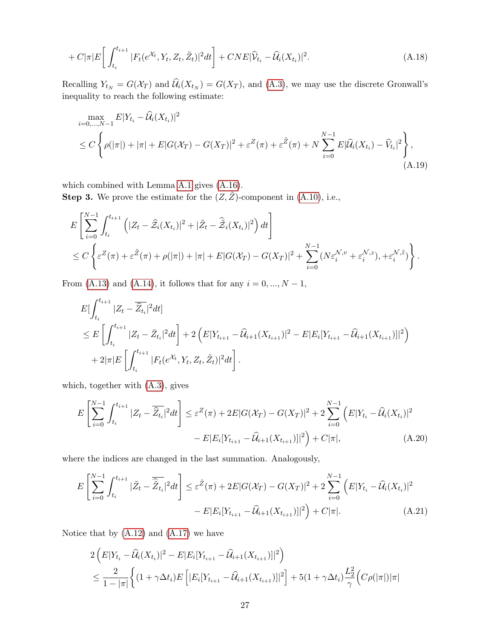$$
+ C|\pi|E\bigg[\int_{t_i}^{t_{i+1}} |F_t(e^{\mathcal{X}_t}, Y_t, Z_t, \tilde{Z}_t)|^2 dt\bigg] + CNE|\widehat{\mathcal{V}}_{t_i} - \widehat{\mathcal{U}}_i(X_{t_i})|^2. \tag{A.18}
$$

Recalling  $Y_{t_N} = G(\mathcal{X}_T)$  and  $\mathcal{U}_i(X_{t_N}) = G(X_T)$ , and [\(A.3\)](#page-22-4), we may use the discrete Gronwall's inequality to reach the following estimate:

$$
\max_{i=0,\dots,N-1} E|Y_{t_i} - \widehat{\mathcal{U}}_i(X_{t_i})|^2
$$
\n
$$
\leq C \left\{ \rho(|\pi|) + |\pi| + E|G(\mathcal{X}_T) - G(X_T)|^2 + \varepsilon^Z(\pi) + \varepsilon^{\tilde{Z}}(\pi) + N \sum_{i=0}^{N-1} E|\widehat{\mathcal{U}}_i(X_{t_i}) - \widehat{V}_{t_i}|^2 \right\},\tag{A.19}
$$

which combined with Lemma [A.1](#page-23-0) gives [\(A.16\)](#page-25-1).

**Step 3.** We prove the estimate for the  $(Z, \tilde{Z})$ -component in  $(A.10)$ , i.e.,

$$
E\left[\sum_{i=0}^{N-1} \int_{t_i}^{t_{i+1}} \left( |Z_t - \widehat{\mathcal{Z}}_i(X_{t_i})|^2 + |\widetilde{Z}_t - \widehat{\mathcal{Z}}_i(X_{t_i})|^2 \right) dt \right]
$$
  

$$
\leq C \left\{ \varepsilon^Z(\pi) + \varepsilon^{\widetilde{Z}}(\pi) + \rho(|\pi|) + |\pi| + E|G(\mathcal{X}_T) - G(X_T)|^2 + \sum_{i=0}^{N-1} (N\varepsilon_i^{\mathcal{N}, v} + \varepsilon_i^{\mathcal{N}, z}), +\varepsilon_i^{\mathcal{N}, \widetilde{z}} \right\}.
$$

From [\(A.13\)](#page-24-0) and [\(A.14\)](#page-25-0), it follows that for any  $i = 0, ..., N - 1$ ,

$$
E[\int_{t_i}^{t_{i+1}} |Z_t - \overline{\hat{Z}_{t_i}}|^2 dt]
$$
  
\n
$$
\leq E\left[\int_{t_i}^{t_{i+1}} |Z_t - \overline{Z}_{t_i}|^2 dt\right] + 2\left(E|Y_{t_{i+1}} - \widehat{U}_{t+1}(X_{t_{i+1}})|^2 - E|E_i[Y_{t_{i+1}} - \widehat{U}_{t+1}(X_{t_{i+1}})]|^2\right)
$$
  
\n
$$
+ 2|\pi|E\left[\int_{t_i}^{t_{i+1}} |F_t(e^{\mathcal{X}_t}, Y_t, Z_t, \tilde{Z}_t)|^2 dt\right].
$$

which, together with [\(A.3\)](#page-22-4), gives

<span id="page-26-0"></span>
$$
E\left[\sum_{i=0}^{N-1} \int_{t_i}^{t_{i+1}} |Z_t - \overline{\hat{Z}_{t_i}}|^2 dt\right] \leq \varepsilon^Z(\pi) + 2E|G(\mathcal{X}_T) - G(X_T)|^2 + 2\sum_{i=0}^{N-1} (E|Y_{t_i} - \widehat{\mathcal{U}}_i(X_{t_i})|^2 - E|E_i[Y_{t_{i+1}} - \widehat{\mathcal{U}}_{i+1}(X_{t_{i+1}})]|^2) + C|\pi|,
$$
\n(A.20)

where the indices are changed in the last summation. Analogously,

$$
E\left[\sum_{i=0}^{N-1} \int_{t_i}^{t_{i+1}} |\tilde{Z}_t - \overline{\hat{Z}_{t_i}}|^2 dt\right] \leq \varepsilon^{\tilde{Z}}(\pi) + 2E|G(\mathcal{X}_T) - G(X_T)|^2 + 2\sum_{i=0}^{N-1} (E|Y_{t_i} - \widehat{\mathcal{U}}_i(X_{t_i})|^2 - E|E_i[Y_{t_{i+1}} - \widehat{\mathcal{U}}_{i+1}(X_{t_{i+1}})]|^2) + C|\pi|.
$$
\n(A.21)

Notice that by  $(A.12)$  and  $(A.17)$  we have

$$
2\left(E|Y_{t_i} - \widehat{\mathcal{U}}_i(X_{t_i})|^2 - E|E_i[Y_{t_{i+1}} - \widehat{\mathcal{U}}_{i+1}(X_{t_{i+1}})]|^2\right)
$$
  

$$
\leq \frac{2}{1-|\pi|}\left\{(1+\gamma\Delta t_i)E\left[|E_i[Y_{t_{i+1}} - \widehat{\mathcal{U}}_{i+1}(X_{t_{i+1}})]|^2\right] + 5(1+\gamma\Delta t_i)\frac{L_2^2}{\gamma}\left(C\rho(|\pi|)|\pi\right)\right\}
$$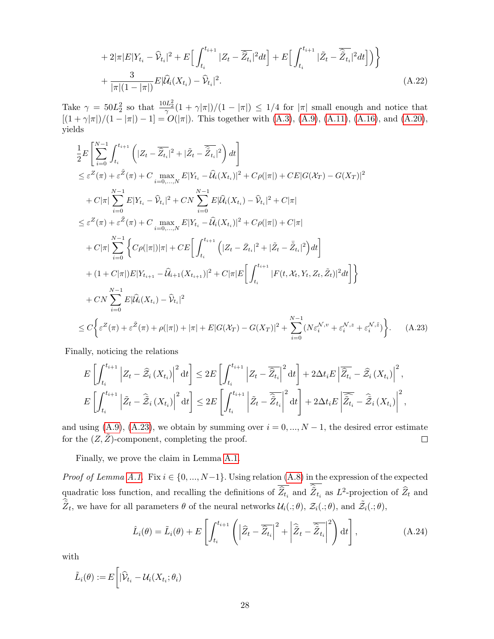$$
+2|\pi|E|Y_{t_i}-\widehat{\mathcal{V}}_{t_i}|^2+E\Big[\int_{t_i}^{t_{i+1}}|Z_t-\overline{\widehat{Z}_{t_i}}|^2dt\Big]+E\Big[\int_{t_i}^{t_{i+1}}|\widetilde{Z}_t-\overline{\widehat{Z}_{t_i}}|^2dt\Big]\Big)\Big\}+\frac{3}{|\pi|(1-|\pi|)}E|\widehat{\mathcal{U}}_i(X_{t_i})-\widehat{\mathcal{V}}_{t_i}|^2.
$$
\n(A.22)

Take  $\gamma = 50L_2^2$  so that  $\frac{10L_2^2}{\gamma}(1+\gamma|\pi|)/(1-|\pi|) \leq 1/4$  for  $|\pi|$  small enough and notice that  $[(1 + \gamma|\pi|)/(1 - |\pi|) - 1] = O(|\pi|)$ . This together with  $(A.3)$ ,  $(A.9)$ ,  $(A.11)$ ,  $(A.16)$ , and  $(A.20)$ , yields

$$
\frac{1}{2}E\left[\sum_{i=0}^{N-1}\int_{t_i}^{t_{i+1}}\left(|Z_t - \overline{\hat{Z}_{t_i}}|^2 + |\tilde{Z}_t - \overline{\hat{Z}_{t_i}}|^2\right)dt\right] \n\leq \varepsilon^Z(\pi) + \varepsilon^{\tilde{Z}}(\pi) + C \max_{i=0,\dots,N} E|Y_{t_i} - \hat{U}_i(X_{t_i})|^2 + C\rho(|\pi|) + CE|G(X_T) - G(X_T)|^2 \n+ C|\pi| \sum_{i=0}^{N-1} E|Y_{t_i} - \hat{V}_{t_i}|^2 + CN \sum_{i=0}^{N-1} E|\hat{U}_i(X_{t_i}) - \hat{V}_{t_i}|^2 + C|\pi| \n\leq \varepsilon^Z(\pi) + \varepsilon^{\tilde{Z}}(\pi) + C \max_{i=0,\dots,N} E|Y_{t_i} - \hat{U}_i(X_{t_i})|^2 + C\rho(|\pi|) + C|\pi| \n+ C|\pi| \sum_{i=0}^{N-1} \left\{C\rho(|\pi|)|\pi| + CE\left[\int_{t_i}^{t_{i+1}}\left(|Z_t - \bar{Z}_{t_i}|^2 + |\tilde{Z}_t - \bar{\tilde{Z}}_{t_i}|^2\right)dt\right] \right. \n+ (1 + C|\pi|)E|Y_{t_{i+1}} - \hat{U}_{i+1}(X_{t_{i+1}})|^2 + C|\pi|E\left[\int_{t_i}^{t_{i+1}} |F(t, X_t, Y_t, Z_t, \tilde{Z}_t)|^2 dt\right] \right\} \n+ CN \sum_{i=0}^{N-1} E|\hat{U}_i(X_{t_i}) - \hat{V}_{t_i}|^2 \n\leq C \left\{ \varepsilon^Z(\pi) + \varepsilon^{\tilde{Z}}(\pi) + \rho(|\pi|) + |\pi| + E|G(X_T) - G(X_T)|^2 + \sum_{i=0}^{N-1} (N\varepsilon_n^{N,v} + \varepsilon_n^{N,z} + \varepsilon_n^{N,\tilde{z}}) \right\}.
$$
 (A.23)

Finally, noticing the relations

<span id="page-27-0"></span>
$$
E\left[\int_{t_i}^{t_{i+1}} \left| Z_t - \widehat{\mathcal{Z}}_i \left( X_{t_i} \right) \right|^2 \mathrm{d}t \right] \leq 2E\left[\int_{t_i}^{t_{i+1}} \left| Z_t - \overline{\widehat{Z}_{t_i}} \right|^2 \mathrm{d}t \right] + 2\Delta t_i E\left| \overline{\widehat{Z}_{t_i}} - \widehat{\mathcal{Z}}_i \left( X_{t_i} \right) \right|^2,
$$
  

$$
E\left[\int_{t_i}^{t_{i+1}} \left| \widetilde{Z}_t - \widehat{\mathcal{Z}}_i \left( X_{t_i} \right) \right|^2 \mathrm{d}t \right] \leq 2E\left[\int_{t_i}^{t_{i+1}} \left| \widetilde{Z}_t - \overline{\widehat{Z}_{t_i}} \right|^2 \mathrm{d}t \right] + 2\Delta t_i E\left| \overline{\widehat{Z}_{t_i}} - \widehat{\mathcal{Z}}_i \left( X_{t_i} \right) \right|^2,
$$

and using [\(A.9\)](#page-23-3), [\(A.23\)](#page-27-0), we obtain by summing over  $i = 0, ..., N - 1$ , the desired error estimate for the  $(Z, \tilde{Z})$ -component, completing the proof.  $\Box$ 

Finally, we prove the claim in Lemma [A.1.](#page-23-0)

*Proof of Lemma [A.1.](#page-23-0)* Fix  $i \in \{0, ..., N-1\}$ . Using relation [\(A.8\)](#page-23-4) in the expression of the expected quadratic loss function, and recalling the definitions of  $\hat{Z}_{t_i}$  and  $\tilde{Z}_{t_i}$  as  $L^2$ -projection of  $\hat{Z}_t$  and  $\tilde{Z}_t$ , we have for all parameters  $\theta$  of the neural networks  $\mathcal{U}_i(.;\theta)$ ,  $\mathcal{Z}_i(.;\theta)$ , and  $\tilde{\mathcal{Z}}_i(.;\theta)$ ,

<span id="page-27-1"></span>
$$
\hat{L}_i(\theta) = \tilde{L}_i(\theta) + E\left[\int_{t_i}^{t_{i+1}} \left( \left| \widehat{Z}_t - \overline{\widehat{Z}_{t_i}} \right|^2 + \left| \widehat{\tilde{Z}}_t - \overline{\widehat{Z}_{t_i}} \right|^2 \right) dt \right],
$$
\n(A.24)

with

$$
\tilde{L}_i(\theta) := E\bigg[|\widehat{\mathcal{V}}_{t_i} - \mathcal{U}_i(X_{t_i}; \theta_i)
$$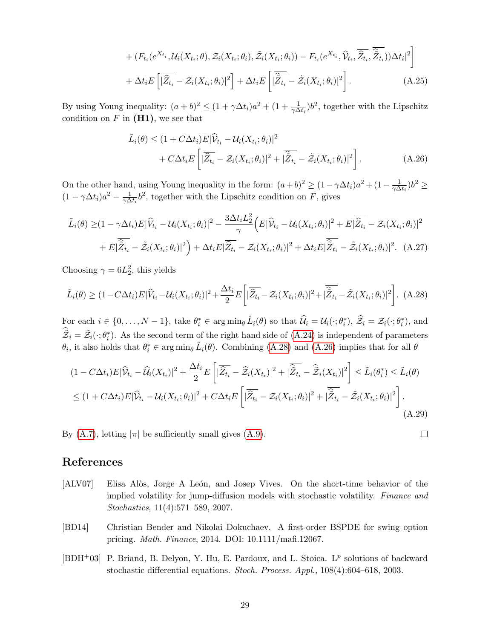+ 
$$
(F_{t_i}(e^{X_{t_i}}, \mathcal{U}_i(X_{t_i}; \theta), \tilde{\mathcal{Z}}_i(X_{t_i}; \theta_i), \tilde{\mathcal{Z}}_i(X_{t_i}; \theta_i)) - F_{t_i}(e^{X_{t_i}}, \hat{\mathcal{V}}_{t_i}, \overline{\hat{\mathcal{Z}}_{t_i}}, \overline{\hat{\mathcal{Z}}_{t_i}}))\Delta t_i|^2
$$
  
+  $\Delta t_i E\left[|\overline{\hat{Z}_{t_i}} - \mathcal{Z}_i(X_{t_i}; \theta_i)|^2\right] + \Delta t_i E\left[|\overline{\hat{Z}_{t_i}} - \tilde{\mathcal{Z}}_i(X_{t_i}; \theta_i)|^2\right].$  (A.25)

By using Young inequality:  $(a+b)^2 \leq (1+\gamma\Delta t_i)a^2 + (1+\frac{1}{\gamma\Delta t_i})b^2$ , together with the Lipschitz condition on  $F$  in  $(H1)$ , we see that

<span id="page-28-4"></span>
$$
\tilde{L}_i(\theta) \le (1 + C\Delta t_i) E |\widehat{\mathcal{V}}_{t_i} - \mathcal{U}_i(X_{t_i}; \theta_i)|^2 \n+ C\Delta t_i E \left[ |\overline{\widehat{Z}_{t_i}} - \mathcal{Z}_i(X_{t_i}; \theta_i)|^2 + |\overline{\widehat{Z}_{t_i}} - \tilde{\mathcal{Z}}_i(X_{t_i}; \theta_i)|^2 \right].
$$
\n(A.26)

On the other hand, using Young inequality in the form:  $(a+b)^2 \geq (1-\gamma\Delta t_i)a^2 + (1-\frac{1}{\gamma\Delta t_i})a^2$  $\frac{1}{\gamma\Delta t_i}$ ) $b^2 \geq$  $(1 - \gamma \Delta t_i) a^2 - \frac{1}{\gamma \Delta t}$  $\frac{1}{\gamma \Delta t_i} b^2$ , together with the Lipschitz condition on F, gives

$$
\tilde{L}_i(\theta) \geq (1 - \gamma \Delta t_i) E |\widehat{V}_{t_i} - \mathcal{U}_i(X_{t_i}; \theta_i)|^2 - \frac{3 \Delta t_i L_2^2}{\gamma} \Big( E |\widehat{V}_{t_i} - \mathcal{U}_i(X_{t_i}; \theta_i)|^2 + E |\overline{\widehat{Z}_{t_i}} - \mathcal{Z}_i(X_{t_i}; \theta_i)|^2 + E |\overline{\widehat{Z}_{t_i}} - \widetilde{\mathcal{Z}}_i(X_{t_i}; \theta_i)|^2 \Big) + \Delta t_i E |\overline{\widehat{Z}_{t_i}} - \mathcal{Z}_i(X_{t_i}; \theta_i)|^2 + \Delta t_i E |\overline{\widehat{Z}_{t_i}} - \widetilde{\mathcal{Z}}_i(X_{t_i}; \theta_i)|^2. \tag{A.27}
$$

Choosing  $\gamma = 6L_2^2$ , this yields

<span id="page-28-3"></span>
$$
\tilde{L}_i(\theta) \ge (1 - C\Delta t_i) E |\hat{V}_{t_i} - \mathcal{U}_i(X_{t_i}; \theta_i)|^2 + \frac{\Delta t_i}{2} E \left[ |\overline{\hat{Z}_{t_i}} - \mathcal{Z}_i(X_{t_i}; \theta_i)|^2 + |\overline{\hat{Z}_{t_i}} - \tilde{\mathcal{Z}}_i(X_{t_i}; \theta_i)|^2 \right].
$$
 (A.28)

For each  $i \in \{0, ..., N-1\}$ , take  $\theta_i^* \in \arg \min_{\theta} \hat{L}_i(\theta)$  so that  $\widehat{\mathcal{U}}_i = \mathcal{U}_i(\cdot; \theta_i^*), \widehat{\mathcal{Z}}_i = \mathcal{Z}_i(\cdot; \theta_i^*),$  and  $\tilde{z}_i = \tilde{z}_i(\cdot; \theta_i^*)$ . As the second term of the right hand side of [\(A.24\)](#page-27-1) is independent of parameters  $\theta_i$ , it also holds that  $\theta_i^* \in \arg\min_{\theta} \tilde{L}_i(\theta)$ . Combining [\(A.28\)](#page-28-3) and [\(A.26\)](#page-28-4) implies that for all  $\theta$ 

$$
(1 - C\Delta t_i)E|\widehat{\mathcal{V}}_{t_i} - \widehat{\mathcal{U}}_i(X_{t_i})|^2 + \frac{\Delta t_i}{2}E\left[|\overline{\widehat{Z}_{t_i}} - \widehat{\mathcal{Z}}_i(X_{t_i})|^2 + |\overline{\widehat{\mathcal{Z}}_{t_i}} - \widehat{\mathcal{Z}}_i(X_{t_i})|^2\right] \leq \tilde{L}_i(\theta_i^*) \leq \tilde{L}_i(\theta)
$$
  

$$
\leq (1 + C\Delta t_i)E|\widehat{\mathcal{V}}_{t_i} - \mathcal{U}_i(X_{t_i}; \theta_i)|^2 + C\Delta t_i E\left[|\overline{\widehat{Z}_{t_i}} - \mathcal{Z}_i(X_{t_i}; \theta_i)|^2 + |\overline{\widehat{Z}_{t_i}} - \tilde{\mathcal{Z}}_i(X_{t_i}; \theta_i)|^2\right].
$$
 (A.29)

 $\Box$ 

By [\(A.7\)](#page-22-5), letting  $|\pi|$  be sufficiently small gives [\(A.9\)](#page-23-3).

### References

- <span id="page-28-0"></span>[ALV07] Elisa Alòs, Jorge A León, and Josep Vives. On the short-time behavior of the implied volatility for jump-diffusion models with stochastic volatility. Finance and Stochastics, 11(4):571–589, 2007.
- <span id="page-28-1"></span>[BD14] Christian Bender and Nikolai Dokuchaev. A first-order BSPDE for swing option pricing. Math. Finance, 2014. DOI: 10.1111/mafi.12067.
- <span id="page-28-2"></span>[BDH+03] P. Briand, B. Delyon, Y. Hu, E. Pardoux, and L. Stoica.  $L^p$  solutions of backward stochastic differential equations. Stoch. Process. Appl., 108(4):604–618, 2003.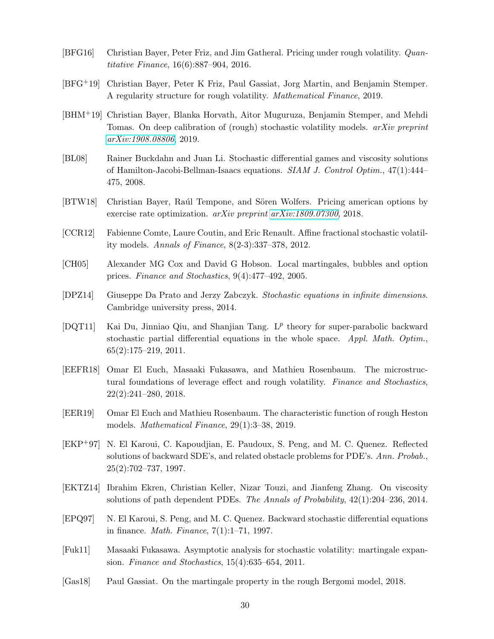- <span id="page-29-1"></span>[BFG16] Christian Bayer, Peter Friz, and Jim Gatheral. Pricing under rough volatility. *Quan*titative Finance, 16(6):887–904, 2016.
- <span id="page-29-6"></span>[BFG+19] Christian Bayer, Peter K Friz, Paul Gassiat, Jorg Martin, and Benjamin Stemper. A regularity structure for rough volatility. Mathematical Finance, 2019.
- <span id="page-29-5"></span>[BHM+19] Christian Bayer, Blanka Horvath, Aitor Muguruza, Benjamin Stemper, and Mehdi Tomas. On deep calibration of (rough) stochastic volatility models. *arXiv preprint* [arXiv:1908.08806](http://arxiv.org/abs/1908.08806), 2019.
- <span id="page-29-11"></span>[BL08] Rainer Buckdahn and Juan Li. Stochastic differential games and viscosity solutions of Hamilton-Jacobi-Bellman-Isaacs equations. SIAM J. Control Optim., 47(1):444– 475, 2008.
- <span id="page-29-15"></span>[BTW18] Christian Bayer, Raúl Tempone, and Sören Wolfers. Pricing american options by exercise rate optimization. arXiv preprint [arXiv:1809.07300](http://arxiv.org/abs/1809.07300), 2018.
- <span id="page-29-0"></span>[CCR12] Fabienne Comte, Laure Coutin, and Eric Renault. Affine fractional stochastic volatility models. Annals of Finance, 8(2-3):337–378, 2012.
- <span id="page-29-8"></span>[CH05] Alexander MG Cox and David G Hobson. Local martingales, bubbles and option prices. Finance and Stochastics, 9(4):477–492, 2005.
- <span id="page-29-14"></span>[DPZ14] Giuseppe Da Prato and Jerzy Zabczyk. Stochastic equations in infinite dimensions. Cambridge university press, 2014.
- <span id="page-29-9"></span>[DQT11] Kai Du, Jinniao Qiu, and Shanjian Tang.  $L^p$  theory for super-parabolic backward stochastic partial differential equations in the whole space. Appl. Math. Optim., 65(2):175–219, 2011.
- <span id="page-29-4"></span>[EEFR18] Omar El Euch, Masaaki Fukasawa, and Mathieu Rosenbaum. The microstructural foundations of leverage effect and rough volatility. Finance and Stochastics, 22(2):241–280, 2018.
- <span id="page-29-3"></span>[EER19] Omar El Euch and Mathieu Rosenbaum. The characteristic function of rough Heston models. Mathematical Finance, 29(1):3–38, 2019.
- <span id="page-29-13"></span>[EKP+97] N. El Karoui, C. Kapoudjian, E. Paudoux, S. Peng, and M. C. Quenez. Reflected solutions of backward SDE's, and related obstacle problems for PDE's. Ann. Probab., 25(2):702–737, 1997.
- <span id="page-29-10"></span>[EKTZ14] Ibrahim Ekren, Christian Keller, Nizar Touzi, and Jianfeng Zhang. On viscosity solutions of path dependent PDEs. The Annals of Probability, 42(1):204–236, 2014.
- <span id="page-29-12"></span>[EPQ97] N. El Karoui, S. Peng, and M. C. Quenez. Backward stochastic differential equations in finance. Math. Finance, 7(1):1–71, 1997.
- <span id="page-29-2"></span>[Fuk11] Masaaki Fukasawa. Asymptotic analysis for stochastic volatility: martingale expansion. Finance and Stochastics, 15(4):635–654, 2011.
- <span id="page-29-7"></span>[Gas18] Paul Gassiat. On the martingale property in the rough Bergomi model, 2018.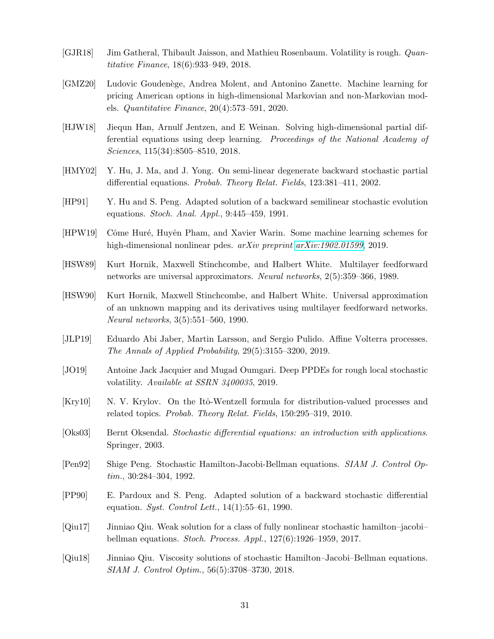- <span id="page-30-0"></span>[GJR18] Jim Gatheral, Thibault Jaisson, and Mathieu Rosenbaum. Volatility is rough. *Quan*titative Finance, 18(6):933–949, 2018.
- <span id="page-30-15"></span>[GMZ20] Ludovic Gouden`ege, Andrea Molent, and Antonino Zanette. Machine learning for pricing American options in high-dimensional Markovian and non-Markovian models. Quantitative Finance, 20(4):573–591, 2020.
- <span id="page-30-14"></span>[HJW18] Jiequn Han, Arnulf Jentzen, and E Weinan. Solving high-dimensional partial differential equations using deep learning. Proceedings of the National Academy of Sciences, 115(34):8505–8510, 2018.
- <span id="page-30-2"></span>[HMY02] Y. Hu, J. Ma, and J. Yong. On semi-linear degenerate backward stochastic partial differential equations. Probab. Theory Relat. Fields, 123:381–411, 2002.
- <span id="page-30-8"></span>[HP91] Y. Hu and S. Peng. Adapted solution of a backward semilinear stochastic evolution equations. Stoch. Anal. Appl., 9:445–459, 1991.
- <span id="page-30-4"></span>[HPW19] Côme Huré, Huyên Pham, and Xavier Warin. Some machine learning schemes for high-dimensional nonlinear pdes. arXiv preprint [arXiv:1902.01599](http://arxiv.org/abs/1902.01599), 2019.
- <span id="page-30-11"></span>[HSW89] Kurt Hornik, Maxwell Stinchcombe, and Halbert White. Multilayer feedforward networks are universal approximators. Neural networks, 2(5):359–366, 1989.
- <span id="page-30-12"></span>[HSW90] Kurt Hornik, Maxwell Stinchcombe, and Halbert White. Universal approximation of an unknown mapping and its derivatives using multilayer feedforward networks. Neural networks, 3(5):551–560, 1990.
- <span id="page-30-1"></span>[JLP19] Eduardo Abi Jaber, Martin Larsson, and Sergio Pulido. Affine Volterra processes. The Annals of Applied Probability, 29(5):3155–3200, 2019.
- <span id="page-30-5"></span>[JO19] Antoine Jack Jacquier and Mugad Oumgari. Deep PPDEs for rough local stochastic volatility. Available at SSRN 3400035, 2019.
- <span id="page-30-6"></span>[Kry10] N. V. Krylov. On the Itô-Wentzell formula for distribution-valued processes and related topics. Probab. Theory Relat. Fields, 150:295–319, 2010.
- <span id="page-30-13"></span>[Oks03] Bernt Oksendal. Stochastic differential equations: an introduction with applications. Springer, 2003.
- <span id="page-30-3"></span>[Pen92] Shige Peng. Stochastic Hamilton-Jacobi-Bellman equations. SIAM J. Control Optim., 30:284–304, 1992.
- <span id="page-30-9"></span>[PP90] E. Pardoux and S. Peng. Adapted solution of a backward stochastic differential equation. Syst. Control Lett.,  $14(1):55-61$ , 1990.
- <span id="page-30-10"></span>[Qiu17] Jinniao Qiu. Weak solution for a class of fully nonlinear stochastic hamilton–jacobi– bellman equations. Stoch. Process. Appl., 127(6):1926–1959, 2017.
- <span id="page-30-7"></span>[Qiu18] Jinniao Qiu. Viscosity solutions of stochastic Hamilton–Jacobi–Bellman equations. SIAM J. Control Optim., 56(5):3708–3730, 2018.